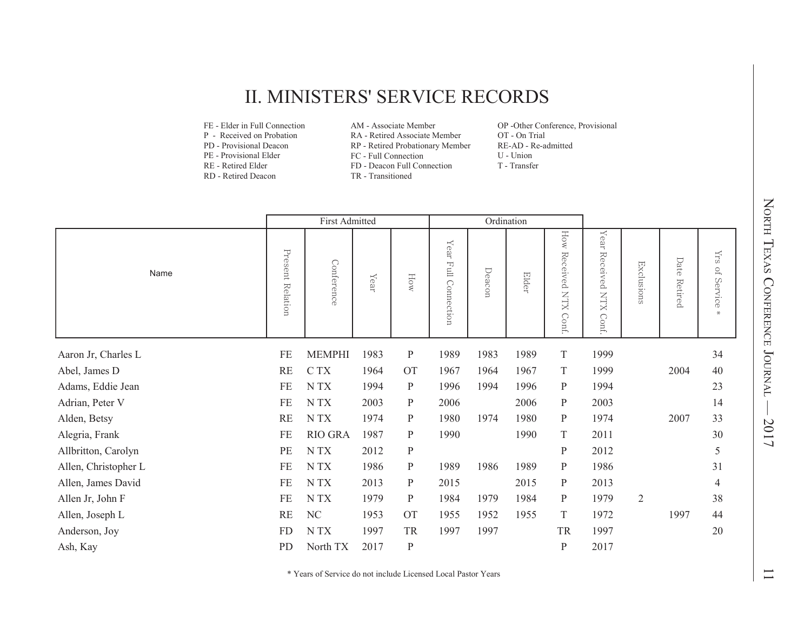## II. MINISTERS' SERVICE RECORDS

- FE Elder in Full Connection
- P Received on Probation
- PD Provisional Deacon
- PE Provisional Elder
- RE Retired Elder
- RD Retired Deacon
- AM Associate Member
- RA Retired Associate Member
- RP Retired Probationary Member
- FC Full Connection FD - Deacon Full Connection
- TR Transitioned

OP -Other Conference, Provisional OT - On TrialRE-AD - Re-admitted U - UnionT - Transfer

|                      |                         | <b>First Admitted</b>      |               |              |                                        |        | Ordination |                                        |                                           |                |                 |                                  |
|----------------------|-------------------------|----------------------------|---------------|--------------|----------------------------------------|--------|------------|----------------------------------------|-------------------------------------------|----------------|-----------------|----------------------------------|
| Name                 | Present Relation        | Conference                 | ${\it Y}$ ear | How          | ${\rm Year}$<br><b>Full Connection</b> | Deacon | Elder      | How<br>Received<br><b>XTY</b><br>Conf. | $\mathbf{Y}$ ear<br>Received NTX<br>Conf. | Exclusions     | Date<br>Retired | $\rm Yrs$<br>$\rm 10$<br>Service |
| Aaron Jr, Charles L  | <b>FE</b>               | <b>MEMPHI</b>              | 1983          | $\mathbf{P}$ | 1989                                   | 1983   | 1989       | T                                      | 1999                                      |                |                 | 34                               |
| Abel, James D        | RE                      | C TX                       | 1964          | <b>OT</b>    | 1967                                   | 1964   | 1967       | T                                      | 1999                                      |                | 2004            | 40                               |
| Adams, Eddie Jean    | FE                      | N TX                       | 1994          | $\mathbf{P}$ | 1996                                   | 1994   | 1996       | $\mathbf{P}$                           | 1994                                      |                |                 | 23                               |
| Adrian, Peter V      | FE                      | N TX                       | 2003          | P            | 2006                                   |        | 2006       | $\mathbf{P}$                           | 2003                                      |                |                 | 14                               |
| Alden, Betsy         | RE                      | N TX                       | 1974          | $\mathbf{P}$ | 1980                                   | 1974   | 1980       | $\mathbf{P}$                           | 1974                                      |                | 2007            | 33                               |
| Alegria, Frank       | FE                      | <b>RIO GRA</b>             | 1987          | P            | 1990                                   |        | 1990       | T                                      | 2011                                      |                |                 | 30                               |
| Allbritton, Carolyn  | PE                      | $\ensuremath{\text{N}}$ TX | 2012          | $\mathbf{P}$ |                                        |        |            | ${\bf P}$                              | 2012                                      |                |                 | 5                                |
| Allen, Christopher L | FE                      | N TX                       | 1986          | P            | 1989                                   | 1986   | 1989       | $\mathbf{P}$                           | 1986                                      |                |                 | 31                               |
| Allen, James David   | FE                      | N TX                       | 2013          | P            | 2015                                   |        | 2015       | $\mathbf{P}$                           | 2013                                      |                |                 | $\overline{4}$                   |
| Allen Jr, John F     | FE                      | N TX                       | 1979          | P            | 1984                                   | 1979   | 1984       | $\mathbf{P}$                           | 1979                                      | $\overline{2}$ |                 | 38                               |
| Allen, Joseph L      | $\mathbb{R}\mathcal{E}$ | NC                         | 1953          | <b>OT</b>    | 1955                                   | 1952   | 1955       | T                                      | 1972                                      |                | 1997            | 44                               |
| Anderson, Joy        | <b>FD</b>               | N TX                       | 1997          | TR           | 1997                                   | 1997   |            | TR                                     | 1997                                      |                |                 | 20                               |
| Ash, Kay             | PD                      | North TX                   | 2017          | ${\bf P}$    |                                        |        |            | $\mathbf P$                            | 2017                                      |                |                 |                                  |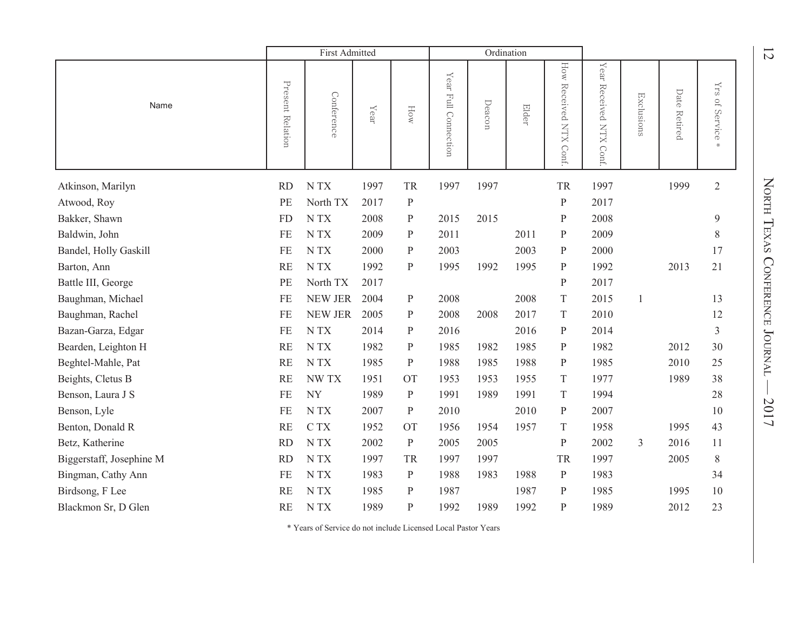|                          |                  | First Admitted   |      |              | Ordination                                     |        |       |                           |                                  |            |                 |                                                            |
|--------------------------|------------------|------------------|------|--------------|------------------------------------------------|--------|-------|---------------------------|----------------------------------|------------|-----------------|------------------------------------------------------------|
| Name                     | Present Relation | Conference       | Year | How          | $\mathbf{Y}\mathbf{ear}$<br>Full<br>Connection | Deacon | Elder | How Received NTX<br>Conf. | $X$ ear<br>Received NTX<br>Conf. | Exclusions | Date<br>Retired | $\rm YTS$<br>DT.<br>Service<br>$\frac{\Delta f}{\Delta t}$ |
| Atkinson, Marilyn        | <b>RD</b>        | N TX             | 1997 | TR           | 1997                                           | 1997   |       | TR                        | 1997                             |            | 1999            | $\mathfrak{2}$                                             |
| Atwood, Roy              | PE               | North TX         | 2017 | $\, {\bf P}$ |                                                |        |       | $\, {\bf P}$              | 2017                             |            |                 |                                                            |
| Bakker, Shawn            | <b>FD</b>        | N TX             | 2008 | $\, {\bf p}$ | 2015                                           | 2015   |       | $\, {\bf P}$              | 2008                             |            |                 | $\boldsymbol{9}$                                           |
| Baldwin, John            | FE               | N TX             | 2009 | $\mathbf P$  | 2011                                           |        | 2011  | $\, {\bf p}$              | 2009                             |            |                 | $\,$ $\,$                                                  |
| Bandel, Holly Gaskill    | FE               | N TX             | 2000 | ${\bf P}$    | 2003                                           |        | 2003  | $\, {\bf p}$              | 2000                             |            |                 | 17                                                         |
| Barton, Ann              | RE               | N TX             | 1992 | $\, {\bf p}$ | 1995                                           | 1992   | 1995  | $\, {\bf p}$              | 1992                             |            | 2013            | 21                                                         |
| Battle III, George       | PE               | North TX         | 2017 |              |                                                |        |       | $\, {\bf p}$              | 2017                             |            |                 |                                                            |
| Baughman, Michael        | <b>FE</b>        | <b>NEW JER</b>   | 2004 | $\mathbf{P}$ | 2008                                           |        | 2008  | T                         | 2015                             | 1          |                 | 13                                                         |
| Baughman, Rachel         | <b>FE</b>        | <b>NEW JER</b>   | 2005 | ${\bf P}$    | 2008                                           | 2008   | 2017  | T                         | 2010                             |            |                 | 12                                                         |
| Bazan-Garza, Edgar       | FE               | N TX             | 2014 | $\mathbf{P}$ | 2016                                           |        | 2016  | $\, {\bf p}$              | 2014                             |            |                 | $\mathfrak{Z}$                                             |
| Bearden, Leighton H      | <b>RE</b>        | N TX             | 1982 | ${\bf P}$    | 1985                                           | 1982   | 1985  | ${\bf P}$                 | 1982                             |            | 2012            | 30                                                         |
| Beghtel-Mahle, Pat       | <b>RE</b>        | N TX             | 1985 | $\mathbf{P}$ | 1988                                           | 1985   | 1988  | $\, {\bf p}$              | 1985                             |            | 2010            | 25                                                         |
| Beights, Cletus B        | <b>RE</b>        | <b>NWTX</b>      | 1951 | <b>OT</b>    | 1953                                           | 1953   | 1955  | T                         | 1977                             |            | 1989            | 38                                                         |
| Benson, Laura J S        | <b>FE</b>        | <b>NY</b>        | 1989 | ${\bf P}$    | 1991                                           | 1989   | 1991  | $\rm T$                   | 1994                             |            |                 | 28                                                         |
| Benson, Lyle             | <b>FE</b>        | $N$ $\rm TX$     | 2007 | $\mathbf{P}$ | 2010                                           |        | 2010  | $\mathbf{P}$              | 2007                             |            |                 | 10                                                         |
| Benton, Donald R         | <b>RE</b>        | C TX             | 1952 | <b>OT</b>    | 1956                                           | 1954   | 1957  | $\mathbf T$               | 1958                             |            | 1995            | 43                                                         |
| Betz, Katherine          | <b>RD</b>        | N TX             | 2002 | $\mathbf{P}$ | 2005                                           | 2005   |       | $\, {\bf p}$              | 2002                             | 3          | 2016            | 11                                                         |
| Biggerstaff, Josephine M | <b>RD</b>        | N <sub>T</sub> X | 1997 | TR           | 1997                                           | 1997   |       | TR                        | 1997                             |            | 2005            | $\,$ $\,$                                                  |
| Bingman, Cathy Ann       | <b>FE</b>        | N TX             | 1983 | $\mathbf{P}$ | 1988                                           | 1983   | 1988  | $\, {\bf p}$              | 1983                             |            |                 | 34                                                         |
| Birdsong, F Lee          | <b>RE</b>        | N TX             | 1985 | ${\bf P}$    | 1987                                           |        | 1987  | $\mathbf{P}$              | 1985                             |            | 1995            | 10                                                         |
| Blackmon Sr, D Glen      | RE               | N TX             | 1989 | $\mathbf{P}$ | 1992                                           | 1989   | 1992  | $\mathbf{P}$              | 1989                             |            | 2012            | 23                                                         |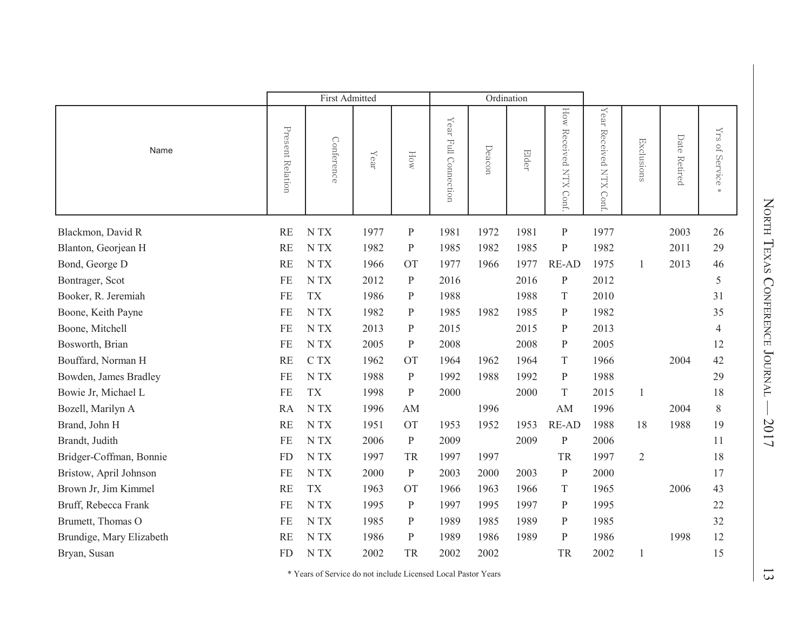|                          |                  | <b>First Admitted</b> |      |              |                                        | Ordination |       |                              |                               |                |              |                                              |
|--------------------------|------------------|-----------------------|------|--------------|----------------------------------------|------------|-------|------------------------------|-------------------------------|----------------|--------------|----------------------------------------------|
| Name                     | Present Relation | Conference            | Year | How          | $\mathbf{Y}$ ear<br>Full<br>Connection | Deacon     | Elder | How<br>Received NTX<br>Conf. | Year<br>Received NTX<br>Conf. | Exclusions     | Date Retired | $\rm YrS$<br>J.O<br>Service<br>$\frac{1}{2}$ |
| Blackmon, David R        | <b>RE</b>        | NTX                   | 1977 | $\mathbf P$  | 1981                                   | 1972       | 1981  | $\mathbf{P}$                 | 1977                          |                | 2003         | 26                                           |
| Blanton, Georjean H      | <b>RE</b>        | N <sub>T</sub> X      | 1982 | P            | 1985                                   | 1982       | 1985  | P                            | 1982                          |                | 2011         | 29                                           |
| Bond, George D           | <b>RE</b>        | N TX                  | 1966 | <b>OT</b>    | 1977                                   | 1966       | 1977  | <b>RE-AD</b>                 | 1975                          | 1              | 2013         | 46                                           |
| Bontrager, Scot          | <b>FE</b>        | N TX                  | 2012 | ${\bf P}$    | 2016                                   |            | 2016  | $\, {\bf P}$                 | 2012                          |                |              | 5                                            |
| Booker, R. Jeremiah      | <b>FE</b>        | <b>TX</b>             | 1986 | $\mathbf P$  | 1988                                   |            | 1988  | $\mathbf T$                  | 2010                          |                |              | 31                                           |
| Boone, Keith Payne       | FE               | N <sub>T</sub> X      | 1982 | $\mathbf{P}$ | 1985                                   | 1982       | 1985  | ${\bf P}$                    | 1982                          |                |              | 35                                           |
| Boone, Mitchell          | <b>FE</b>        | N TX                  | 2013 | P            | 2015                                   |            | 2015  | $\mathbf{P}$                 | 2013                          |                |              | $\overline{4}$                               |
| Bosworth, Brian          | FE               | N TX                  | 2005 | $\mathbf P$  | 2008                                   |            | 2008  | $\mathbf{P}$                 | 2005                          |                |              | 12                                           |
| Bouffard, Norman H       | <b>RE</b>        | C TX                  | 1962 | <b>OT</b>    | 1964                                   | 1962       | 1964  | $\mathbf T$                  | 1966                          |                | 2004         | 42                                           |
| Bowden, James Bradley    | FE               | N TX                  | 1988 | $\mathbf P$  | 1992                                   | 1988       | 1992  | $\mathbf{P}$                 | 1988                          |                |              | 29                                           |
| Bowie Jr, Michael L      | FE               | <b>TX</b>             | 1998 | ${\bf P}$    | 2000                                   |            | 2000  | $\mathbf T$                  | 2015                          | 1              |              | 18                                           |
| Bozell, Marilyn A        | <b>RA</b>        | N <sub>T</sub> X      | 1996 | AM           |                                        | 1996       |       | AM                           | 1996                          |                | 2004         | 8                                            |
| Brand, John H            | <b>RE</b>        | N <sub>T</sub> X      | 1951 | <b>OT</b>    | 1953                                   | 1952       | 1953  | <b>RE-AD</b>                 | 1988                          | 18             | 1988         | 19                                           |
| Brandt, Judith           | <b>FE</b>        | N TX                  | 2006 | ${\bf P}$    | 2009                                   |            | 2009  | $\, {\bf P}$                 | 2006                          |                |              | 11                                           |
| Bridger-Coffman, Bonnie  | FD               | N TX                  | 1997 | TR           | 1997                                   | 1997       |       | TR                           | 1997                          | $\mathfrak{2}$ |              | 18                                           |
| Bristow, April Johnson   | <b>FE</b>        | N TX                  | 2000 | $\mathbf P$  | 2003                                   | 2000       | 2003  | ${\bf P}$                    | 2000                          |                |              | 17                                           |
| Brown Jr, Jim Kimmel     | <b>RE</b>        | <b>TX</b>             | 1963 | <b>OT</b>    | 1966                                   | 1963       | 1966  | $\mathbf T$                  | 1965                          |                | 2006         | 43                                           |
| Bruff, Rebecca Frank     | FE               | N <sub>T</sub> X      | 1995 | ${\bf P}$    | 1997                                   | 1995       | 1997  | ${\bf P}$                    | 1995                          |                |              | 22                                           |
| Brumett, Thomas O        | FE               | N <sub>T</sub> X      | 1985 | $\mathbf{P}$ | 1989                                   | 1985       | 1989  | ${\bf P}$                    | 1985                          |                |              | 32                                           |
| Brundige, Mary Elizabeth | <b>RE</b>        | N <sub>T</sub> X      | 1986 | P            | 1989                                   | 1986       | 1989  | $\mathbf{P}$                 | 1986                          |                | 1998         | 12                                           |
| Bryan, Susan             | <b>FD</b>        | N <sub>T</sub> X      | 2002 | TR           | 2002                                   | 2002       |       | TR                           | 2002                          | 1              |              | 15                                           |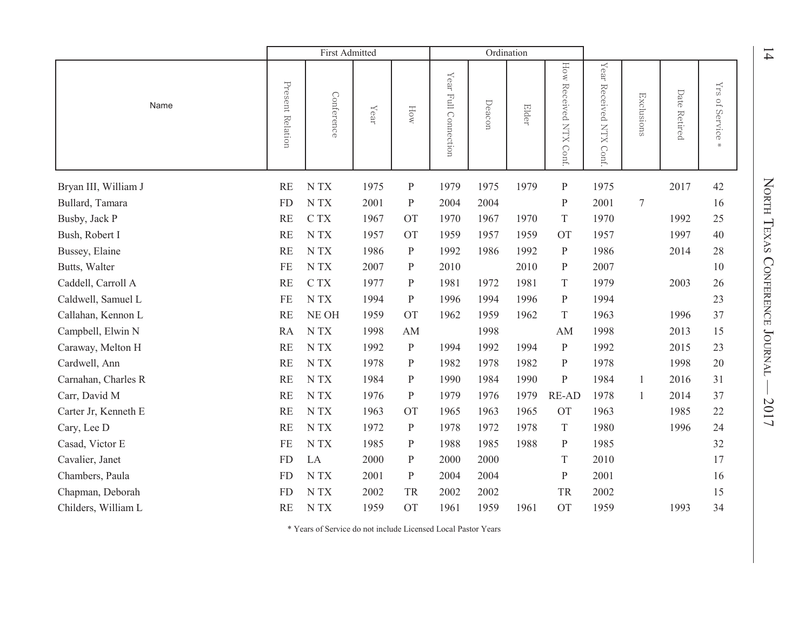|                      | First Admitted   |                            |                          |              |                      |        | Ordination |                              |                                  |                  |                 |                              |
|----------------------|------------------|----------------------------|--------------------------|--------------|----------------------|--------|------------|------------------------------|----------------------------------|------------------|-----------------|------------------------------|
| Name                 | Present Relation | Conference                 | $\mathbf{Y}\mathbf{ear}$ | How          | Year Full Connection | Deacon | Elder      | How<br>Received NTX<br>Conf. | $Y$ ear<br>Received NTX<br>Conf. | Exclusions       | Date<br>Retired | $\rm YrS$<br>of Service<br>₩ |
| Bryan III, William J | RE               | N TX                       | 1975                     | $\mathbf{P}$ | 1979                 | 1975   | 1979       | ${\bf P}$                    | 1975                             |                  | 2017            | 42                           |
| Bullard, Tamara      | <b>FD</b>        | N <sub>T</sub> X           | 2001                     | ${\bf P}$    | 2004                 | 2004   |            | $\mathbf{P}$                 | 2001                             | $\boldsymbol{7}$ |                 | 16                           |
| Busby, Jack P        | RE               | C TX                       | 1967                     | <b>OT</b>    | 1970                 | 1967   | 1970       | T                            | 1970                             |                  | 1992            | 25                           |
| Bush, Robert I       | RE               | N <sub>T</sub> X           | 1957                     | <b>OT</b>    | 1959                 | 1957   | 1959       | <b>OT</b>                    | 1957                             |                  | 1997            | 40                           |
| Bussey, Elaine       | RE               | N TX                       | 1986                     | $\mathbf{P}$ | 1992                 | 1986   | 1992       | $\mathbf{P}$                 | 1986                             |                  | 2014            | 28                           |
| Butts, Walter        | <b>FE</b>        | N TX                       | 2007                     | ${\bf P}$    | 2010                 |        | 2010       | ${\bf P}$                    | 2007                             |                  |                 | $10\,$                       |
| Caddell, Carroll A   | RE               | C TX                       | 1977                     | $\mathbf{P}$ | 1981                 | 1972   | 1981       | T                            | 1979                             |                  | 2003            | 26                           |
| Caldwell, Samuel L   | FE               | N TX                       | 1994                     | ${\bf P}$    | 1996                 | 1994   | 1996       | $\, {\bf P}$                 | 1994                             |                  |                 | 23                           |
| Callahan, Kennon L   | RE               | NE OH                      | 1959                     | <b>OT</b>    | 1962                 | 1959   | 1962       | T                            | 1963                             |                  | 1996            | 37                           |
| Campbell, Elwin N    | <b>RA</b>        | N TX                       | 1998                     | AM           |                      | 1998   |            | AM                           | 1998                             |                  | 2013            | 15                           |
| Caraway, Melton H    | RE               | N TX                       | 1992                     | $\mathbf{P}$ | 1994                 | 1992   | 1994       | ${\bf P}$                    | 1992                             |                  | 2015            | 23                           |
| Cardwell, Ann        | RE               | N TX                       | 1978                     | $\mathbf{P}$ | 1982                 | 1978   | 1982       | $\mathbf{P}$                 | 1978                             |                  | 1998            | 20                           |
| Carnahan, Charles R  | RE               | N TX                       | 1984                     | P            | 1990                 | 1984   | 1990       | $\mathbf{P}$                 | 1984                             | 1                | 2016            | 31                           |
| Carr, David M        | <b>RE</b>        | N TX                       | 1976                     | $\mathbf{P}$ | 1979                 | 1976   | 1979       | <b>RE-AD</b>                 | 1978                             | 1                | 2014            | 37                           |
| Carter Jr, Kenneth E | RE               | $\ensuremath{\text{N}}$ TX | 1963                     | <b>OT</b>    | 1965                 | 1963   | 1965       | <b>OT</b>                    | 1963                             |                  | 1985            | 22                           |
| Cary, Lee D          | RE               | N <sub>T</sub> X           | 1972                     | $\mathbf{P}$ | 1978                 | 1972   | 1978       | T                            | 1980                             |                  | 1996            | 24                           |
| Casad, Victor E      | <b>FE</b>        | N TX                       | 1985                     | $\mathbf{P}$ | 1988                 | 1985   | 1988       | ${\bf P}$                    | 1985                             |                  |                 | 32                           |
| Cavalier, Janet      | <b>FD</b>        | LA                         | 2000                     | $\mathbf{P}$ | 2000                 | 2000   |            | T                            | 2010                             |                  |                 | 17                           |
| Chambers, Paula      | <b>FD</b>        | N TX                       | 2001                     | $\mathbf{P}$ | 2004                 | 2004   |            | ${\bf P}$                    | 2001                             |                  |                 | 16                           |
| Chapman, Deborah     | <b>FD</b>        | N TX                       | 2002                     | TR           | 2002                 | 2002   |            | TR                           | 2002                             |                  |                 | 15                           |
| Childers, William L  | RE               | NTX                        | 1959                     | <b>OT</b>    | 1961                 | 1959   | 1961       | <b>OT</b>                    | 1959                             |                  | 1993            | 34                           |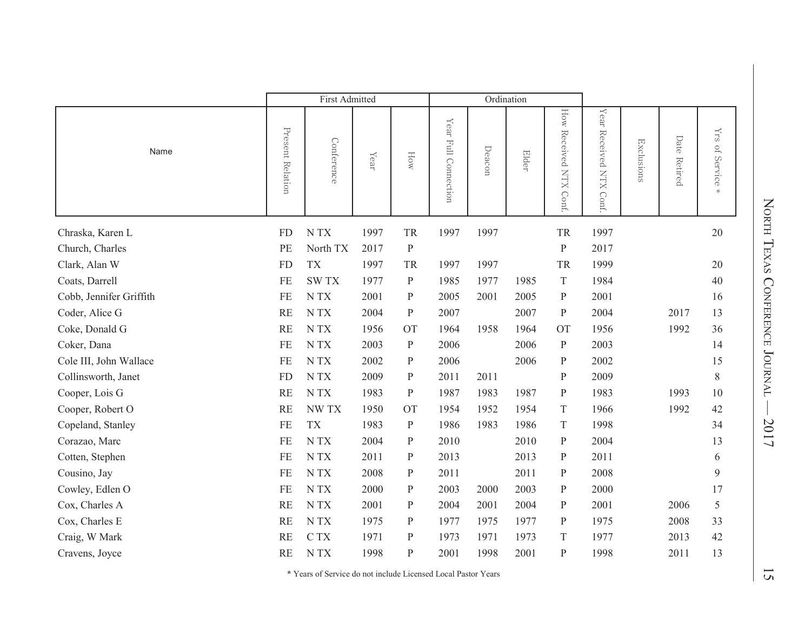First Admitted Ordination How Received NTX Conf. Year Received NTX Conf How Received NTX Conf. Year Received NTX Conf. Year Full Connection Year Full Connection Present Relation Present Relation Yrs of Service Yrs of Service \* Date Retired Conference Date Retired Conference Exclusions Exclusions Deacon NameElder Year How  $\mathbf{M}$ Chraska, Karen L FD N TX 1997 TR 1997 1997 TR 1997 20 Church, Charles **PE** North TX 2017 P 2017 Clark, Alan W FD TX 1997 TR 1997 1997 TR 1999 20 Coats, Darrell FE SW TX 1977 P 1985 1977 1985 T 1984 40 Cobb, Jennifer Griffith FE N TX 2001 P 2005 2001 2005 P 2001 16 Coder, Alice G RE N TX 2004 P 2007 2007 P 2004 2017 13 Coke, Donald G RE N TX 1956 OT 1964 1958 1964 OT 1956 1992 36 Coker, Dana FE N TX 2003 P 2006 2006 P 2003 14 Cole III, John Wallace FE N TX 2002 P 2006 2006 P 2002 15 Collinsworth, Janet FD N TX 2009 P 2011 2011 P 2009 8 Cooper, Lois G RE N TX 1983 P 1987 1983 1987 P 1983 1993 10 Cooper, Robert O RE NW TX 1950 OT 1954 1952 1954 T 1966 1992 42 Copeland, Stanley **FE TX** 1983 P 1986 1983 1986 T 1998 34 Corazao, Marc FE N TX 2004 P 2010 2010 P 2004 13 Cotten, Stephen FE N TX 2011 P 2013 2013 P 2011 6 Cousino, Jay FE N TX 2008 P 2011 2011 P 2008 9 Cowley, Edlen O FE N TX 2000 P 2003 2000 P 2003 P 2000 17 Cox, Charles A **RE N TX** 2001 P 2004 2001 2004 P 2001 2006 5 Cox, Charles E 2008 33 Craig, W Mark RE C TX 1971 P 1973 1971 1973 T 1977 2013 42 Cravens, Joyce RE N TX 1998 P 2001 1998 2001 P 1998 2011 13

North

Texas C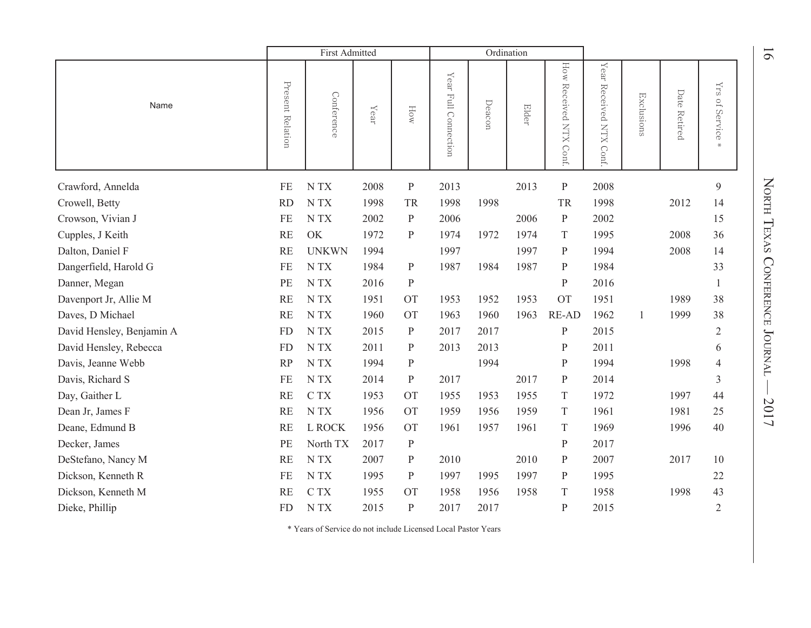|                           | <b>First Admitted</b> |                  |                          |              |                                         |        | Ordination |                           |                                           |            |                 |                              |
|---------------------------|-----------------------|------------------|--------------------------|--------------|-----------------------------------------|--------|------------|---------------------------|-------------------------------------------|------------|-----------------|------------------------------|
| Name                      | Present<br>Relation   | Conference       | $\mathbf{Y}\mathbf{ear}$ | How          | ${\it Y}$ ear<br><b>Full Connection</b> | Deacon | Elder      | How Received NTX<br>Conf. | $\mathbf{Y}$ ear<br>Received NTX<br>Conf. | Exclusions | Date<br>Retired | $\rm YrS$<br>of Service<br>₩ |
| Crawford, Annelda         | FE                    | N TX             | 2008                     | $\mathbf{P}$ | 2013                                    |        | 2013       | ${\bf P}$                 | 2008                                      |            |                 | 9                            |
| Crowell, Betty            | <b>RD</b>             | N <sub>T</sub> X | 1998                     | TR           | 1998                                    | 1998   |            | TR                        | 1998                                      |            | 2012            | 14                           |
| Crowson, Vivian J         | <b>FE</b>             | N TX             | 2002                     | $\mathbf{P}$ | 2006                                    |        | 2006       | ${\bf P}$                 | 2002                                      |            |                 | 15                           |
| Cupples, J Keith          | <b>RE</b>             | OK               | 1972                     | ${\bf P}$    | 1974                                    | 1972   | 1974       | $\mathbf T$               | 1995                                      |            | 2008            | 36                           |
| Dalton, Daniel F          | <b>RE</b>             | <b>UNKWN</b>     | 1994                     |              | 1997                                    |        | 1997       | ${\bf P}$                 | 1994                                      |            | 2008            | 14                           |
| Dangerfield, Harold G     | <b>FE</b>             | N TX             | 1984                     | ${\bf P}$    | 1987                                    | 1984   | 1987       | ${\bf P}$                 | 1984                                      |            |                 | 33                           |
| Danner, Megan             | PE                    | N TX             | 2016                     | $\, {\bf P}$ |                                         |        |            | $\mathbf{P}$              | 2016                                      |            |                 | $\mathbf{1}$                 |
| Davenport Jr, Allie M     | <b>RE</b>             | N TX             | 1951                     | <b>OT</b>    | 1953                                    | 1952   | 1953       | <b>OT</b>                 | 1951                                      |            | 1989            | 38                           |
| Daves, D Michael          | <b>RE</b>             | N TX             | 1960                     | <b>OT</b>    | 1963                                    | 1960   | 1963       | <b>RE-AD</b>              | 1962                                      | 1          | 1999            | 38                           |
| David Hensley, Benjamin A | <b>FD</b>             | N TX             | 2015                     | $\mathbf{P}$ | 2017                                    | 2017   |            | $\mathbf P$               | 2015                                      |            |                 | $\overline{c}$               |
| David Hensley, Rebecca    | <b>FD</b>             | N TX             | 2011                     | $\, {\bf P}$ | 2013                                    | 2013   |            | ${\bf P}$                 | 2011                                      |            |                 | 6                            |
| Davis, Jeanne Webb        | <b>RP</b>             | N TX             | 1994                     | ${\bf P}$    |                                         | 1994   |            | ${\bf P}$                 | 1994                                      |            | 1998            | $\overline{4}$               |
| Davis, Richard S          | <b>FE</b>             | N TX             | 2014                     | P            | 2017                                    |        | 2017       | $\mathbf{P}$              | 2014                                      |            |                 | $\mathfrak{Z}$               |
| Day, Gaither L            | <b>RE</b>             | C TX             | 1953                     | <b>OT</b>    | 1955                                    | 1953   | 1955       | $\mathbf T$               | 1972                                      |            | 1997            | 44                           |
| Dean Jr, James F          | <b>RE</b>             | N TX             | 1956                     | <b>OT</b>    | 1959                                    | 1956   | 1959       | $\mathbf T$               | 1961                                      |            | 1981            | 25                           |
| Deane, Edmund B           | <b>RE</b>             | L ROCK           | 1956                     | <b>OT</b>    | 1961                                    | 1957   | 1961       | T                         | 1969                                      |            | 1996            | 40                           |
| Decker, James             | PE                    | North TX         | 2017                     | $\mathbf{P}$ |                                         |        |            | ${\bf P}$                 | 2017                                      |            |                 |                              |
| DeStefano, Nancy M        | <b>RE</b>             | N TX             | 2007                     | $\mathbf{P}$ | 2010                                    |        | 2010       | $\mathbf P$               | 2007                                      |            | 2017            | 10                           |
| Dickson, Kenneth R        | FE                    | N TX             | 1995                     | $\mathbf{P}$ | 1997                                    | 1995   | 1997       | ${\bf P}$                 | 1995                                      |            |                 | 22                           |
| Dickson, Kenneth M        | <b>RE</b>             | C TX             | 1955                     | <b>OT</b>    | 1958                                    | 1956   | 1958       | T                         | 1958                                      |            | 1998            | 43                           |
| Dieke, Phillip            | <b>FD</b>             | N TX             | 2015                     | $\mathbf{P}$ | 2017                                    | 2017   |            | $\mathbf{P}$              | 2015                                      |            |                 | $\overline{2}$               |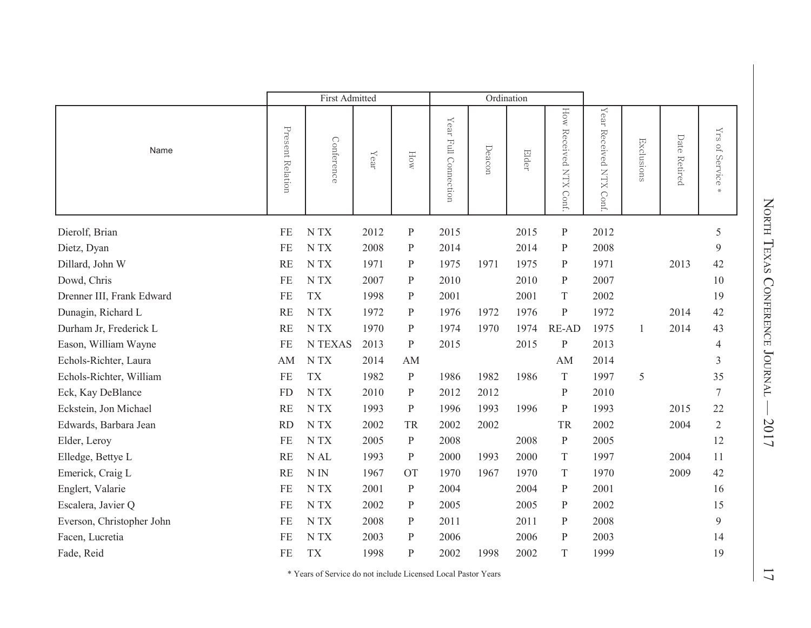|                           |                  | <b>First Admitted</b> |      |              |                                                             | Ordination |       |                           |                                                                     |            |                 |                                                            |
|---------------------------|------------------|-----------------------|------|--------------|-------------------------------------------------------------|------------|-------|---------------------------|---------------------------------------------------------------------|------------|-----------------|------------------------------------------------------------|
| Name                      | Present Relation | Conference            | Year | How          | $\mathbf{Y}$ ear<br>$\mathbb{H}^{\mathbb{H}}$<br>Connection | Deacon     | Elder | How Received NTX<br>Conf. | $\mathbf{Y}\mathbf{e}\mathbf{a}\mathbf{r}$<br>Received NTX<br>Conf. | Exclusions | Date<br>Retired | $\rm\thinspace yr$<br>$\widetilde{\mathcal{L}}$<br>Service |
| Dierolf, Brian            | <b>FE</b>        | NTX                   | 2012 | P            | 2015                                                        |            | 2015  | $\mathbf{P}$              | 2012                                                                |            |                 | 5                                                          |
| Dietz, Dyan               | <b>FE</b>        | N TX                  | 2008 | $\mathbf P$  | 2014                                                        |            | 2014  | $\mathbf P$               | 2008                                                                |            |                 | 9                                                          |
| Dillard, John W           | <b>RE</b>        | N TX                  | 1971 | P            | 1975                                                        | 1971       | 1975  | ${\bf P}$                 | 1971                                                                |            | 2013            | 42                                                         |
| Dowd, Chris               | <b>FE</b>        | NTX                   | 2007 | P            | 2010                                                        |            | 2010  | P                         | 2007                                                                |            |                 | 10                                                         |
| Drenner III, Frank Edward | <b>FE</b>        | <b>TX</b>             | 1998 | P            | 2001                                                        |            | 2001  | T                         | 2002                                                                |            |                 | 19                                                         |
| Dunagin, Richard L        | <b>RE</b>        | N TX                  | 1972 | P            | 1976                                                        | 1972       | 1976  | ${\bf P}$                 | 1972                                                                |            | 2014            | 42                                                         |
| Durham Jr, Frederick L    | <b>RE</b>        | N TX                  | 1970 | P            | 1974                                                        | 1970       | 1974  | <b>RE-AD</b>              | 1975                                                                | 1          | 2014            | 43                                                         |
| Eason, William Wayne      | FE               | <b>N TEXAS</b>        | 2013 | ${\bf P}$    | 2015                                                        |            | 2015  | $\, {\bf P}$              | 2013                                                                |            |                 | 4                                                          |
| Echols-Richter, Laura     | AM               | N TX                  | 2014 | AM           |                                                             |            |       | AM                        | 2014                                                                |            |                 | 3                                                          |
| Echols-Richter, William   | <b>FE</b>        | <b>TX</b>             | 1982 | $\mathbf{P}$ | 1986                                                        | 1982       | 1986  | $\mathcal T$              | 1997                                                                | 5          |                 | 35                                                         |
| Eck, Kay DeBlance         | <b>FD</b>        | N TX                  | 2010 | $\mathbf P$  | 2012                                                        | 2012       |       | ${\bf P}$                 | 2010                                                                |            |                 | 7                                                          |
| Eckstein, Jon Michael     | <b>RE</b>        | N TX                  | 1993 | P            | 1996                                                        | 1993       | 1996  | P                         | 1993                                                                |            | 2015            | 22                                                         |
| Edwards, Barbara Jean     | <b>RD</b>        | N TX                  | 2002 | TR           | 2002                                                        | 2002       |       | TR                        | 2002                                                                |            | 2004            | $\overline{2}$                                             |
| Elder, Leroy              | FE               | N TX                  | 2005 | P            | 2008                                                        |            | 2008  | ${\bf P}$                 | 2005                                                                |            |                 | 12                                                         |
| Elledge, Bettye L         | <b>RE</b>        | N AL                  | 1993 | $\mathbf{P}$ | 2000                                                        | 1993       | 2000  | T                         | 1997                                                                |            | 2004            | 11                                                         |
| Emerick, Craig L          | <b>RE</b>        | N <sub>IN</sub>       | 1967 | <b>OT</b>    | 1970                                                        | 1967       | 1970  | T                         | 1970                                                                |            | 2009            | 42                                                         |
| Englert, Valarie          | FE               | NTX                   | 2001 | P            | 2004                                                        |            | 2004  | $\mathbf{P}$              | 2001                                                                |            |                 | 16                                                         |
| Escalera, Javier Q        | FE               | N TX                  | 2002 | P            | 2005                                                        |            | 2005  | $\mathbf P$               | 2002                                                                |            |                 | 15                                                         |
| Everson, Christopher John | FE               | N TX                  | 2008 | P            | 2011                                                        |            | 2011  | ${\bf P}$                 | 2008                                                                |            |                 | 9                                                          |
| Facen, Lucretia           | FE               | N TX                  | 2003 | P            | 2006                                                        |            | 2006  | P                         | 2003                                                                |            |                 | 14                                                         |
| Fade, Reid                | <b>FE</b>        | <b>TX</b>             | 1998 | P            | 2002                                                        | 1998       | 2002  | T                         | 1999                                                                |            |                 | 19                                                         |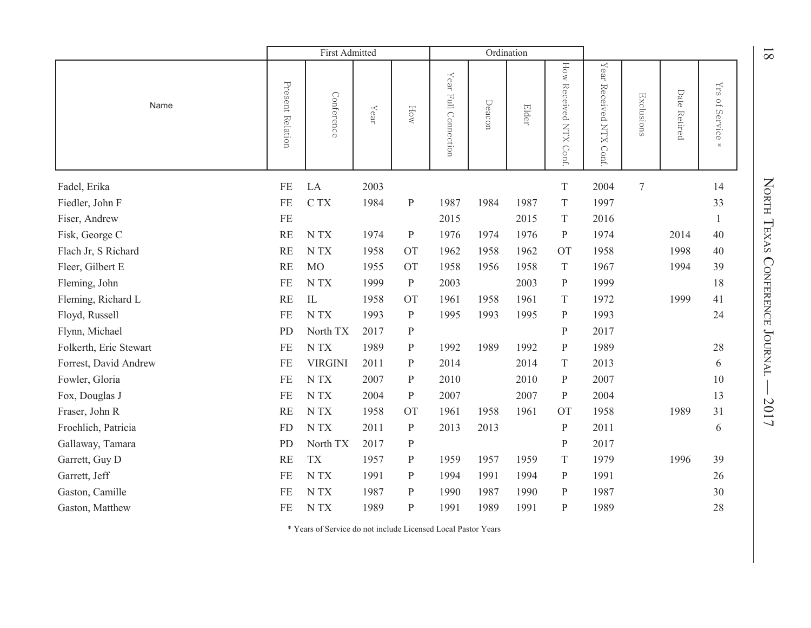|                        | First Admitted   |                |                                            |              |                      |        | Ordination |                           |                                  |                |                 |                          |
|------------------------|------------------|----------------|--------------------------------------------|--------------|----------------------|--------|------------|---------------------------|----------------------------------|----------------|-----------------|--------------------------|
| Name                   | Present Relation | Conference     | $\mathbf{Y}\mathbf{e}\mathbf{a}\mathbf{r}$ | How          | Year Full Connection | Deacon | Elder      | How Received NTX<br>Conf. | $Y$ ear<br>Received NTX<br>Conf. | Exclusions     | Date<br>Retired | Yrs of Service<br>$\ast$ |
| Fadel, Erika           | FE               | LA             | 2003                                       |              |                      |        |            | $\mathbf T$               | 2004                             | $\overline{7}$ |                 | 14                       |
| Fiedler, John F        | <b>FE</b>        | C TX           | 1984                                       | ${\bf P}$    | 1987                 | 1984   | 1987       | T                         | 1997                             |                |                 | 33                       |
| Fiser, Andrew          | FE               |                |                                            |              | 2015                 |        | 2015       | T                         | 2016                             |                |                 | $\mathbf{1}$             |
| Fisk, George C         | <b>RE</b>        | N TX           | 1974                                       | ${\bf P}$    | 1976                 | 1974   | 1976       | $\mathbf{P}$              | 1974                             |                | 2014            | 40                       |
| Flach Jr, S Richard    | RE               | N TX           | 1958                                       | <b>OT</b>    | 1962                 | 1958   | 1962       | <b>OT</b>                 | 1958                             |                | 1998            | 40                       |
| Fleer, Gilbert E       | <b>RE</b>        | M <sub>O</sub> | 1955                                       | <b>OT</b>    | 1958                 | 1956   | 1958       | T                         | 1967                             |                | 1994            | 39                       |
| Fleming, John          | FE               | N TX           | 1999                                       | $\mathbf{P}$ | 2003                 |        | 2003       | $\, {\bf p}$              | 1999                             |                |                 | 18                       |
| Fleming, Richard L     | RE               | ${\rm IL}$     | 1958                                       | <b>OT</b>    | 1961                 | 1958   | 1961       | T                         | 1972                             |                | 1999            | 41                       |
| Floyd, Russell         | FE               | N TX           | 1993                                       | $\mathbf{P}$ | 1995                 | 1993   | 1995       | $\, {\bf P}$              | 1993                             |                |                 | 24                       |
| Flynn, Michael         | PD               | North TX       | 2017                                       | ${\bf P}$    |                      |        |            | ${\bf P}$                 | 2017                             |                |                 |                          |
| Folkerth, Eric Stewart | FE               | N TX           | 1989                                       | ${\bf P}$    | 1992                 | 1989   | 1992       | ${\bf P}$                 | 1989                             |                |                 | 28                       |
| Forrest, David Andrew  | <b>FE</b>        | <b>VIRGINI</b> | 2011                                       | $\, {\bf p}$ | 2014                 |        | 2014       | T                         | 2013                             |                |                 | 6                        |
| Fowler, Gloria         | FE               | N TX           | 2007                                       | $\mathbf{P}$ | 2010                 |        | 2010       | ${\bf P}$                 | 2007                             |                |                 | 10                       |
| Fox, Douglas J         | FE               | N TX           | 2004                                       | $\mathbf{P}$ | 2007                 |        | 2007       | $\mathbf{P}$              | 2004                             |                |                 | 13                       |
| Fraser, John R         | <b>RE</b>        | N TX           | 1958                                       | <b>OT</b>    | 1961                 | 1958   | 1961       | <b>OT</b>                 | 1958                             |                | 1989            | 31                       |
| Froehlich, Patricia    | <b>FD</b>        | N TX           | 2011                                       | $\mathbf{P}$ | 2013                 | 2013   |            | $\, {\bf P}$              | 2011                             |                |                 | 6                        |
| Gallaway, Tamara       | PD               | North TX       | 2017                                       | ${\bf P}$    |                      |        |            | ${\bf P}$                 | 2017                             |                |                 |                          |
| Garrett, Guy D         | <b>RE</b>        | <b>TX</b>      | 1957                                       | $\mathbf{P}$ | 1959                 | 1957   | 1959       | T                         | 1979                             |                | 1996            | 39                       |
| Garrett, Jeff          | <b>FE</b>        | N TX           | 1991                                       | $\mathbf{P}$ | 1994                 | 1991   | 1994       | P                         | 1991                             |                |                 | 26                       |
| Gaston, Camille        | FE               | N TX           | 1987                                       | $\mathbf{P}$ | 1990                 | 1987   | 1990       | P                         | 1987                             |                |                 | 30                       |
| Gaston, Matthew        | <b>FE</b>        | N TX           | 1989                                       | P            | 1991                 | 1989   | 1991       | P                         | 1989                             |                |                 | 28                       |

North TEXAS CONFERE e Journal — 2017  $-2017$ 

18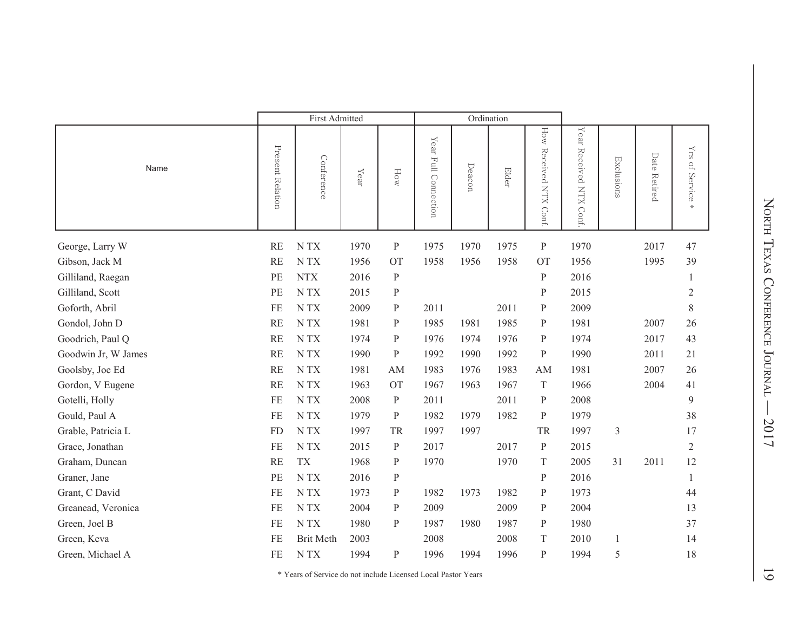|                     |                  | <b>First Admitted</b> |                  |              |                                                    | Ordination |       |                           |                            |              |                 |                                   |
|---------------------|------------------|-----------------------|------------------|--------------|----------------------------------------------------|------------|-------|---------------------------|----------------------------|--------------|-----------------|-----------------------------------|
| Name                | Present Relation | Conference            | $\mathbf{Y}$ ear | How          | $\mathbf{Y}\mathbf{ear}$<br><b>Full Connection</b> | Deacon     | Elder | How Received NTX<br>Conf. | Year Received NTX<br>Conf. | Exclusions   | Date<br>Retired | $\rm\thinspace Yrs$<br>of Service |
| George, Larry W     | RE               | N TX                  | 1970             | ${\bf P}$    | 1975                                               | 1970       | 1975  | ${\bf P}$                 | 1970                       |              | 2017            | 47                                |
| Gibson, Jack M      | RE               | N TX                  | 1956             | <b>OT</b>    | 1958                                               | 1956       | 1958  | <b>OT</b>                 | 1956                       |              | 1995            | 39                                |
| Gilliland, Raegan   | $PE$             | <b>NTX</b>            | 2016             | $\, {\bf p}$ |                                                    |            |       | $\, {\bf p}$              | 2016                       |              |                 | 1                                 |
| Gilliland, Scott    | PE               | N TX                  | 2015             | ${\bf P}$    |                                                    |            |       | ${\bf P}$                 | 2015                       |              |                 | 2                                 |
| Goforth, Abril      | <b>FE</b>        | N TX                  | 2009             | P            | 2011                                               |            | 2011  | ${\bf P}$                 | 2009                       |              |                 | $8\,$                             |
| Gondol, John D      | RE               | N TX                  | 1981             | P            | 1985                                               | 1981       | 1985  | P                         | 1981                       |              | 2007            | 26                                |
| Goodrich, Paul Q    | RE               | N TX                  | 1974             | P            | 1976                                               | 1974       | 1976  | $\mathbf{P}$              | 1974                       |              | 2017            | 43                                |
| Goodwin Jr, W James | RE               | N TX                  | 1990             | ${\bf P}$    | 1992                                               | 1990       | 1992  | ${\bf P}$                 | 1990                       |              | 2011            | 21                                |
| Goolsby, Joe Ed     | RE               | N TX                  | 1981             | AM           | 1983                                               | 1976       | 1983  | $\mathbf{A}\mathbf{M}$    | 1981                       |              | 2007            | 26                                |
| Gordon, V Eugene    | RE               | N TX                  | 1963             | <b>OT</b>    | 1967                                               | 1963       | 1967  | $\mathbf T$               | 1966                       |              | 2004            | 41                                |
| Gotelli, Holly      | $\rm FE$         | N TX                  | 2008             | P            | 2011                                               |            | 2011  | P                         | 2008                       |              |                 | 9                                 |
| Gould, Paul A       | $\rm FE$         | N TX                  | 1979             | $\mathbf{P}$ | 1982                                               | 1979       | 1982  | $\mathbf{P}$              | 1979                       |              |                 | 38                                |
| Grable, Patricia L  | <b>FD</b>        | N TX                  | 1997             | TR           | 1997                                               | 1997       |       | TR                        | 1997                       | 3            |                 | 17                                |
| Grace, Jonathan     | FE               | N TX                  | 2015             | $\mathbf{P}$ | 2017                                               |            | 2017  | ${\bf P}$                 | 2015                       |              |                 | $\overline{2}$                    |
| Graham, Duncan      | RE               | <b>TX</b>             | 1968             | ${\bf P}$    | 1970                                               |            | 1970  | $\rm T$                   | 2005                       | 31           | 2011            | 12                                |
| Graner, Jane        | PE               | N TX                  | 2016             | ${\bf P}$    |                                                    |            |       | ${\bf P}$                 | 2016                       |              |                 | 1                                 |
| Grant, C David      | FE               | N TX                  | 1973             | $\mathbf{P}$ | 1982                                               | 1973       | 1982  | ${\bf P}$                 | 1973                       |              |                 | 44                                |
| Greanead, Veronica  | <b>FE</b>        | N TX                  | 2004             | $\mathbf{P}$ | 2009                                               |            | 2009  | ${\bf P}$                 | 2004                       |              |                 | 13                                |
| Green, Joel B       | $\rm FE$         | N TX                  | 1980             | P            | 1987                                               | 1980       | 1987  | ${\bf P}$                 | 1980                       |              |                 | 37                                |
| Green, Keva         | <b>FE</b>        | <b>Brit Meth</b>      | 2003             |              | 2008                                               |            | 2008  | $\mathbf T$               | 2010                       | $\mathbf{1}$ |                 | 14                                |
| Green, Michael A    | FE               | N TX                  | 1994             | $\mathbf{P}$ | 1996                                               | 1994       | 1996  | $\mathbf{P}$              | 1994                       | 5            |                 | 18                                |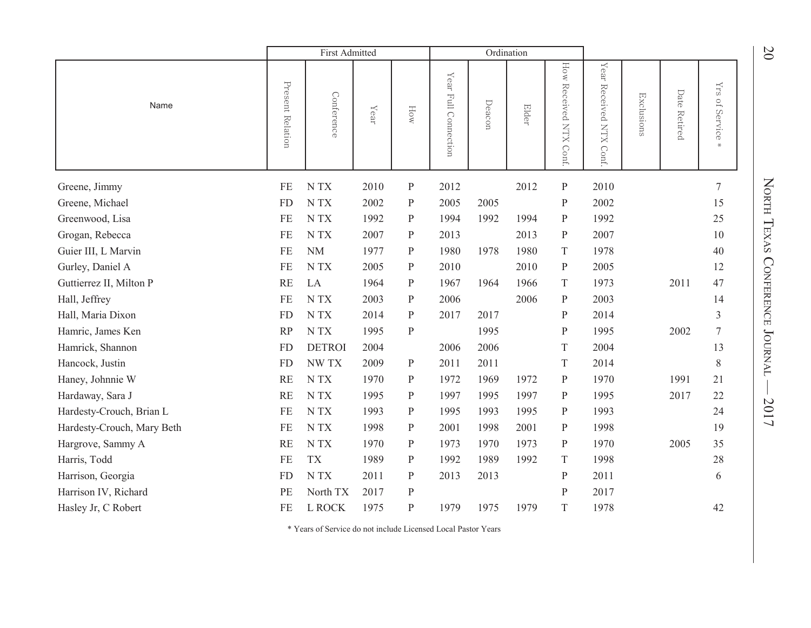|                            | First Admitted      |                  |                          |              |                                         |        | Ordination |                           |                                  |            |                 |                                                     |
|----------------------------|---------------------|------------------|--------------------------|--------------|-----------------------------------------|--------|------------|---------------------------|----------------------------------|------------|-----------------|-----------------------------------------------------|
| Name                       | Present<br>Relation | Conference       | $\mathbf{Y}\mathbf{ear}$ | How          | ${\it Y}$ ear<br><b>Full Connection</b> | Deacon | Elder      | How Received NTX<br>Conf. | $Y$ ear<br>Received NTX<br>Conf. | Exclusions | Date<br>Retired | $\rm YrS$<br>of Service<br>$\boldsymbol{\varkappa}$ |
| Greene, Jimmy              | <b>FE</b>           | N TX             | 2010                     | ${\bf P}$    | 2012                                    |        | 2012       | $\mathbf{P}$              | 2010                             |            |                 | 7                                                   |
| Greene, Michael            | <b>FD</b>           | N TX             | 2002                     | $\mathbf P$  | 2005                                    | 2005   |            | $\mathbf{P}$              | 2002                             |            |                 | 15                                                  |
| Greenwood, Lisa            | FE                  | N TX             | 1992                     | ${\bf p}$    | 1994                                    | 1992   | 1994       | $\mathbf{P}$              | 1992                             |            |                 | 25                                                  |
| Grogan, Rebecca            | FE                  | N TX             | 2007                     | $\mathbf P$  | 2013                                    |        | 2013       | $\mathbf{P}$              | 2007                             |            |                 | 10                                                  |
| Guier III, L Marvin        | FE                  | <b>NM</b>        | 1977                     | ${\bf P}$    | 1980                                    | 1978   | 1980       | T                         | 1978                             |            |                 | 40                                                  |
| Gurley, Daniel A           | <b>FE</b>           | N TX             | 2005                     | $\mathbf{P}$ | 2010                                    |        | 2010       | $\mathbf{P}$              | 2005                             |            |                 | 12                                                  |
| Guttierrez II, Milton P    | <b>RE</b>           | LA               | 1964                     | ${\bf P}$    | 1967                                    | 1964   | 1966       | $\mathbf T$               | 1973                             |            | 2011            | 47                                                  |
| Hall, Jeffrey              | FE                  | N TX             | 2003                     | $\mathbf P$  | 2006                                    |        | 2006       | P                         | 2003                             |            |                 | 14                                                  |
| Hall, Maria Dixon          | FD                  | N TX             | 2014                     | $\mathbf P$  | 2017                                    | 2017   |            | P                         | 2014                             |            |                 | 3                                                   |
| Hamric, James Ken          | <b>RP</b>           | N <sub>T</sub> X | 1995                     | ${\bf P}$    |                                         | 1995   |            | $\mathbf{P}$              | 1995                             |            | 2002            | $\boldsymbol{7}$                                    |
| Hamrick, Shannon           | <b>FD</b>           | <b>DETROI</b>    | 2004                     |              | 2006                                    | 2006   |            | $\mathbf T$               | 2004                             |            |                 | 13                                                  |
| Hancock, Justin            | <b>FD</b>           | NW TX            | 2009                     | ${\bf P}$    | 2011                                    | 2011   |            | $\mathbf T$               | 2014                             |            |                 | 8                                                   |
| Haney, Johnnie W           | <b>RE</b>           | N TX             | 1970                     | $\mathbf P$  | 1972                                    | 1969   | 1972       | $\mathbf{P}$              | 1970                             |            | 1991            | 21                                                  |
| Hardaway, Sara J           | <b>RE</b>           | N <sub>T</sub> X | 1995                     | $\mathbf{P}$ | 1997                                    | 1995   | 1997       | $\mathbf{P}$              | 1995                             |            | 2017            | 22                                                  |
| Hardesty-Crouch, Brian L   | FE                  | N TX             | 1993                     | $\mathbf{P}$ | 1995                                    | 1993   | 1995       | $\mathbf{P}$              | 1993                             |            |                 | 24                                                  |
| Hardesty-Crouch, Mary Beth | FE                  | N TX             | 1998                     | $\mathbf{P}$ | 2001                                    | 1998   | 2001       | $\mathbf{P}$              | 1998                             |            |                 | 19                                                  |
| Hargrove, Sammy A          | <b>RE</b>           | N TX             | 1970                     | $\mathbf{P}$ | 1973                                    | 1970   | 1973       | $\mathbf{P}$              | 1970                             |            | 2005            | 35                                                  |
| Harris, Todd               | <b>FE</b>           | <b>TX</b>        | 1989                     | $\mathbf P$  | 1992                                    | 1989   | 1992       | $\mathcal T$              | 1998                             |            |                 | 28                                                  |
| Harrison, Georgia          | <b>FD</b>           | N TX             | 2011                     | ${\bf P}$    | 2013                                    | 2013   |            | $\mathbf{P}$              | 2011                             |            |                 | 6                                                   |
| Harrison IV, Richard       | PE                  | North TX         | 2017                     | $\mathbf{P}$ |                                         |        |            | P                         | 2017                             |            |                 |                                                     |
| Hasley Jr, C Robert        | <b>FE</b>           | L ROCK           | 1975                     | $\mathbf{P}$ | 1979                                    | 1975   | 1979       | T                         | 1978                             |            |                 | 42                                                  |

TEXAS CONFERE e Journal — 2017

 $-2017$ 

North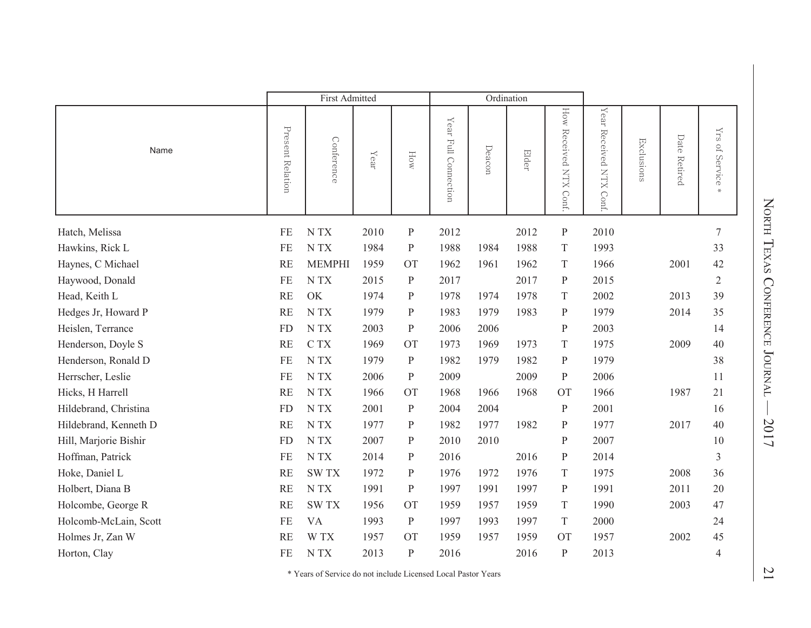|                       |                  | <b>First Admitted</b> |      |              |                                        |        | Ordination |                       |                            |            |              |                                                   |
|-----------------------|------------------|-----------------------|------|--------------|----------------------------------------|--------|------------|-----------------------|----------------------------|------------|--------------|---------------------------------------------------|
| Name                  | Present Relation | Conference            | Year | How          | $\mathbf{Y}$ ear<br>Full<br>Connection | Deacon | Elder      | How Received NTX Conf | Year Received NTX<br>Conf. | Exclusions | Date Retired | $\rm YrS$<br>$\ensuremath{\mathbb{R}}$<br>Service |
| Hatch, Melissa        | FE               | N TX                  | 2010 | ${\bf P}$    | 2012                                   |        | 2012       | ${\bf P}$             | 2010                       |            |              | $\overline{7}$                                    |
| Hawkins, Rick L       | <b>FE</b>        | N <sub>T</sub> X      | 1984 | P            | 1988                                   | 1984   | 1988       | $\mathbf T$           | 1993                       |            |              | 33                                                |
| Haynes, C Michael     | <b>RE</b>        | <b>MEMPHI</b>         | 1959 | <b>OT</b>    | 1962                                   | 1961   | 1962       | $\mathbf T$           | 1966                       |            | 2001         | 42                                                |
| Haywood, Donald       | <b>FE</b>        | N TX                  | 2015 | $\mathbf{P}$ | 2017                                   |        | 2017       | $\mathbf{P}$          | 2015                       |            |              | $\overline{2}$                                    |
| Head, Keith L         | RE               | OK                    | 1974 | $\mathbf P$  | 1978                                   | 1974   | 1978       | $\mathbf T$           | 2002                       |            | 2013         | 39                                                |
| Hedges Jr, Howard P   | <b>RE</b>        | N TX                  | 1979 | $\mathbf{P}$ | 1983                                   | 1979   | 1983       | $\, {\bf P}$          | 1979                       |            | 2014         | 35                                                |
| Heislen, Terrance     | <b>FD</b>        | NTX                   | 2003 | $\mathbf P$  | 2006                                   | 2006   |            | $\mathbf P$           | 2003                       |            |              | 14                                                |
| Henderson, Doyle S    | <b>RE</b>        | C TX                  | 1969 | <b>OT</b>    | 1973                                   | 1969   | 1973       | $\mathbf T$           | 1975                       |            | 2009         | 40                                                |
| Henderson, Ronald D   | <b>FE</b>        | N TX                  | 1979 | $\mathbf P$  | 1982                                   | 1979   | 1982       | P                     | 1979                       |            |              | 38                                                |
| Herrscher, Leslie     | FE               | N TX                  | 2006 | ${\bf P}$    | 2009                                   |        | 2009       | ${\bf P}$             | 2006                       |            |              | 11                                                |
| Hicks, H Harrell      | <b>RE</b>        | NTX                   | 1966 | <b>OT</b>    | 1968                                   | 1966   | 1968       | <b>OT</b>             | 1966                       |            | 1987         | 21                                                |
| Hildebrand, Christina | <b>FD</b>        | N TX                  | 2001 | $\mathbf{P}$ | 2004                                   | 2004   |            | $\mathbf{P}$          | 2001                       |            |              | 16                                                |
| Hildebrand, Kenneth D | <b>RE</b>        | N <sub>T</sub> X      | 1977 | $\mathbf P$  | 1982                                   | 1977   | 1982       | $\mathbf{P}$          | 1977                       |            | 2017         | 40                                                |
| Hill, Marjorie Bishir | <b>FD</b>        | N TX                  | 2007 | P            | 2010                                   | 2010   |            | $\mathbf P$           | 2007                       |            |              | 10                                                |
| Hoffman, Patrick      | FE               | N TX                  | 2014 | $\mathbf{P}$ | 2016                                   |        | 2016       | ${\bf P}$             | 2014                       |            |              | $\overline{3}$                                    |
| Hoke, Daniel L        | <b>RE</b>        | <b>SWTX</b>           | 1972 | P            | 1976                                   | 1972   | 1976       | $\mathcal T$          | 1975                       |            | 2008         | 36                                                |
| Holbert, Diana B      | RE               | N TX                  | 1991 | ${\bf P}$    | 1997                                   | 1991   | 1997       | $\mathbf{P}$          | 1991                       |            | 2011         | 20                                                |
| Holcombe, George R    | <b>RE</b>        | <b>SWTX</b>           | 1956 | <b>OT</b>    | 1959                                   | 1957   | 1959       | $\mathcal T$          | 1990                       |            | 2003         | 47                                                |
| Holcomb-McLain, Scott | <b>FE</b>        | <b>VA</b>             | 1993 | ${\bf P}$    | 1997                                   | 1993   | 1997       | $\mathbf T$           | 2000                       |            |              | 24                                                |
| Holmes Jr, Zan W      | <b>RE</b>        | W TX                  | 1957 | <b>OT</b>    | 1959                                   | 1957   | 1959       | <b>OT</b>             | 1957                       |            | 2002         | 45                                                |
| Horton, Clay          | <b>FE</b>        | N TX                  | 2013 | P            | 2016                                   |        | 2016       | P                     | 2013                       |            |              | $\overline{4}$                                    |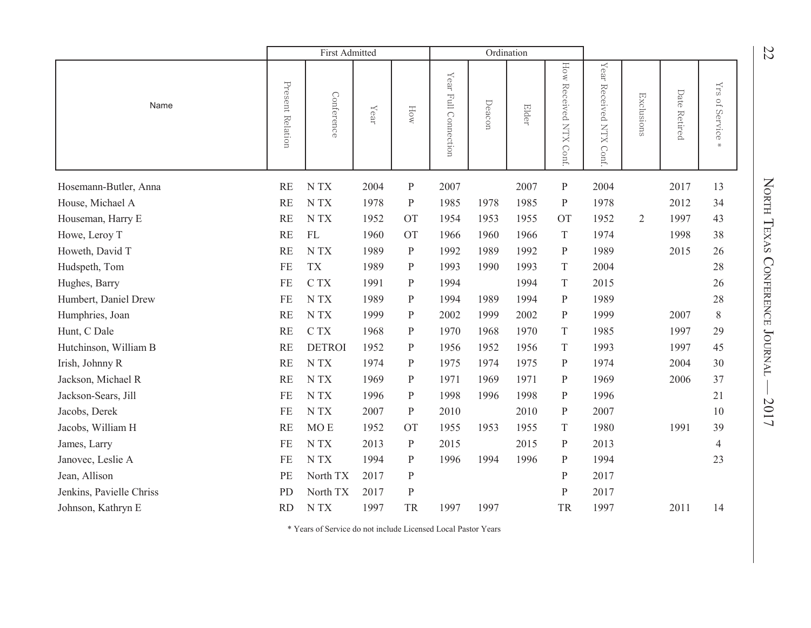|                          |                     | <b>First Admitted</b> |                                            | Ordination   |                      |        |       |                           |                                           |                |                 |                     |
|--------------------------|---------------------|-----------------------|--------------------------------------------|--------------|----------------------|--------|-------|---------------------------|-------------------------------------------|----------------|-----------------|---------------------|
| Name                     | Present<br>Relation | Conference            | $\mathbf{Y}\mathbf{e}\mathbf{a}\mathbf{r}$ | How          | Year Full Connection | Deacon | Elder | How<br>Received NTX Conf. | $\mathbf{Y}$ ear<br>Received NTX<br>Conf. | Exclusions     | Date<br>Retired | Yrs of Service<br>₩ |
| Hosemann-Butler, Anna    | <b>RE</b>           | N TX                  | 2004                                       | $\mathbf P$  | 2007                 |        | 2007  | ${\bf P}$                 | 2004                                      |                | 2017            | 13                  |
| House, Michael A         | <b>RE</b>           | N <sub>T</sub> X      | 1978                                       | ${\bf P}$    | 1985                 | 1978   | 1985  | ${\bf P}$                 | 1978                                      |                | 2012            | 34                  |
| Houseman, Harry E        | <b>RE</b>           | N TX                  | 1952                                       | <b>OT</b>    | 1954                 | 1953   | 1955  | <b>OT</b>                 | 1952                                      | $\overline{2}$ | 1997            | 43                  |
| Howe, Leroy T            | <b>RE</b>           | FL                    | 1960                                       | <b>OT</b>    | 1966                 | 1960   | 1966  | $\mathbf T$               | 1974                                      |                | 1998            | 38                  |
| Howeth, David T          | <b>RE</b>           | N TX                  | 1989                                       | $\mathbf{P}$ | 1992                 | 1989   | 1992  | ${\bf P}$                 | 1989                                      |                | 2015            | 26                  |
| Hudspeth, Tom            | <b>FE</b>           | <b>TX</b>             | 1989                                       | $\mathbf{P}$ | 1993                 | 1990   | 1993  | $\mathbf T$               | 2004                                      |                |                 | 28                  |
| Hughes, Barry            | FE                  | C TX                  | 1991                                       | ${\bf P}$    | 1994                 |        | 1994  | $\mathbf T$               | 2015                                      |                |                 | 26                  |
| Humbert, Daniel Drew     | <b>FE</b>           | N TX                  | 1989                                       | P            | 1994                 | 1989   | 1994  | ${\bf P}$                 | 1989                                      |                |                 | 28                  |
| Humphries, Joan          | <b>RE</b>           | N TX                  | 1999                                       | $\mathbf{P}$ | 2002                 | 1999   | 2002  | ${\bf P}$                 | 1999                                      |                | 2007            | $8\,$               |
| Hunt, C Dale             | <b>RE</b>           | C TX                  | 1968                                       | ${\bf P}$    | 1970                 | 1968   | 1970  | $\mathbf T$               | 1985                                      |                | 1997            | 29                  |
| Hutchinson, William B    | <b>RE</b>           | <b>DETROI</b>         | 1952                                       | ${\bf P}$    | 1956                 | 1952   | 1956  | $\mathbf T$               | 1993                                      |                | 1997            | 45                  |
| Irish, Johnny R          | <b>RE</b>           | N <sub>T</sub> X      | 1974                                       | $\mathbf{P}$ | 1975                 | 1974   | 1975  | $\mathbf{P}$              | 1974                                      |                | 2004            | 30                  |
| Jackson, Michael R       | <b>RE</b>           | N TX                  | 1969                                       | $\mathbf{P}$ | 1971                 | 1969   | 1971  | $\mathbf{P}$              | 1969                                      |                | 2006            | 37                  |
| Jackson-Sears, Jill      | FE                  | N TX                  | 1996                                       | ${\bf P}$    | 1998                 | 1996   | 1998  | ${\bf P}$                 | 1996                                      |                |                 | 21                  |
| Jacobs, Derek            | FE                  | N TX                  | 2007                                       | $\mathbf{P}$ | 2010                 |        | 2010  | P                         | 2007                                      |                |                 | 10                  |
| Jacobs, William H        | <b>RE</b>           | MO <sub>E</sub>       | 1952                                       | <b>OT</b>    | 1955                 | 1953   | 1955  | T                         | 1980                                      |                | 1991            | 39                  |
| James, Larry             | FE                  | N TX                  | 2013                                       | ${\bf P}$    | 2015                 |        | 2015  | ${\bf P}$                 | 2013                                      |                |                 | $\overline{4}$      |
| Janovec, Leslie A        | <b>FE</b>           | N <sub>T</sub> X      | 1994                                       | $\mathbf{P}$ | 1996                 | 1994   | 1996  | ${\bf P}$                 | 1994                                      |                |                 | 23                  |
| Jean, Allison            | PE                  | North TX              | 2017                                       | $\, {\bf P}$ |                      |        |       | ${\bf P}$                 | 2017                                      |                |                 |                     |
| Jenkins, Pavielle Chriss | PD                  | North TX              | 2017                                       | $\mathbf P$  |                      |        |       | $\mathbf{P}$              | 2017                                      |                |                 |                     |
| Johnson, Kathryn E       | RD                  | N TX                  | 1997                                       | TR           | 1997                 | 1997   |       | <b>TR</b>                 | 1997                                      |                | 2011            | 14                  |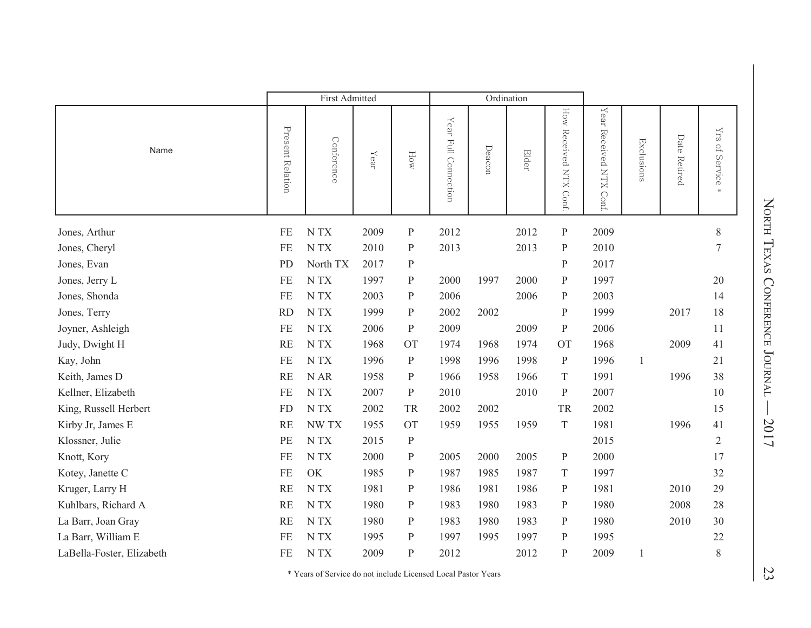|                           |                  | First Admitted             |      |              |                                        |        | Ordination |                       |                            |              |              |                                                   |
|---------------------------|------------------|----------------------------|------|--------------|----------------------------------------|--------|------------|-----------------------|----------------------------|--------------|--------------|---------------------------------------------------|
| Name                      | Present Relation | Conference                 | Year | How          | $\mathbf{Y}$ ear<br>Full<br>Connection | Deacon | Elder      | How Received NTX Conf | Year Received NTX<br>Conf. | Exclusions   | Date Retired | $\rm YrS$<br>$\ensuremath{\mathbb{R}}$<br>Service |
| Jones, Arthur             | FE               | N TX                       | 2009 | $\mathbf{P}$ | 2012                                   |        | 2012       | ${\bf P}$             | 2009                       |              |              | 8                                                 |
| Jones, Cheryl             | <b>FE</b>        | N <sub>T</sub> X           | 2010 | P            | 2013                                   |        | 2013       | $\mathbf{P}$          | 2010                       |              |              | 7                                                 |
| Jones, Evan               | PD               | North TX                   | 2017 | P            |                                        |        |            | $\, {\bf P}$          | 2017                       |              |              |                                                   |
| Jones, Jerry L            | <b>FE</b>        | N TX                       | 1997 | $\mathbf{P}$ | 2000                                   | 1997   | 2000       | P                     | 1997                       |              |              | 20                                                |
| Jones, Shonda             | <b>FE</b>        | N TX                       | 2003 | $\mathbf P$  | 2006                                   |        | 2006       | $\, {\bf P}$          | 2003                       |              |              | 14                                                |
| Jones, Terry              | <b>RD</b>        | N TX                       | 1999 | $\mathbf{P}$ | 2002                                   | 2002   |            | $\, {\bf P}$          | 1999                       |              | 2017         | 18                                                |
| Joyner, Ashleigh          | FE               | NTX                        | 2006 | $\mathbf P$  | 2009                                   |        | 2009       | $\mathbf{P}$          | 2006                       |              |              | 11                                                |
| Judy, Dwight H            | <b>RE</b>        | N TX                       | 1968 | <b>OT</b>    | 1974                                   | 1968   | 1974       | <b>OT</b>             | 1968                       |              | 2009         | 41                                                |
| Kay, John                 | <b>FE</b>        | N TX                       | 1996 | $\mathbf P$  | 1998                                   | 1996   | 1998       | $\mathbf{P}$          | 1996                       | $\mathbf{1}$ |              | 21                                                |
| Keith, James D            | RE               | N AR                       | 1958 | ${\bf P}$    | 1966                                   | 1958   | 1966       | $\mathbf T$           | 1991                       |              | 1996         | 38                                                |
| Kellner, Elizabeth        | FE               | $\ensuremath{\text{N}}$ TX | 2007 | ${\bf P}$    | 2010                                   |        | 2010       | ${\bf P}$             | 2007                       |              |              | 10                                                |
| King, Russell Herbert     | <b>FD</b>        | N TX                       | 2002 | TR           | 2002                                   | 2002   |            | TR                    | 2002                       |              |              | 15                                                |
| Kirby Jr, James E         | <b>RE</b>        | NW TX                      | 1955 | <b>OT</b>    | 1959                                   | 1955   | 1959       | $\mathbf T$           | 1981                       |              | 1996         | 41                                                |
| Klossner, Julie           | PE               | N TX                       | 2015 | $\mathbf P$  |                                        |        |            |                       | 2015                       |              |              | $\mathfrak{2}$                                    |
| Knott, Kory               | FE               | N TX                       | 2000 | $\mathbf{P}$ | 2005                                   | 2000   | 2005       | ${\bf P}$             | 2000                       |              |              | 17                                                |
| Kotey, Janette C          | <b>FE</b>        | OK                         | 1985 | P            | 1987                                   | 1985   | 1987       | $\mathcal T$          | 1997                       |              |              | 32                                                |
| Kruger, Larry H           | RE               | N TX                       | 1981 | $\mathbf P$  | 1986                                   | 1981   | 1986       | $\mathbf{P}$          | 1981                       |              | 2010         | 29                                                |
| Kuhlbars, Richard A       | <b>RE</b>        | NTX                        | 1980 | P            | 1983                                   | 1980   | 1983       | ${\bf P}$             | 1980                       |              | 2008         | 28                                                |
| La Barr, Joan Gray        | RE               | N TX                       | 1980 | P            | 1983                                   | 1980   | 1983       | $\, {\bf p}$          | 1980                       |              | 2010         | 30                                                |
| La Barr, William E        | FE               | NTX                        | 1995 | P            | 1997                                   | 1995   | 1997       | $\mathbf{P}$          | 1995                       |              |              | 22                                                |
| LaBella-Foster, Elizabeth | <b>FE</b>        | N TX                       | 2009 | P            | 2012                                   |        | 2012       | P                     | 2009                       | 1            |              | 8                                                 |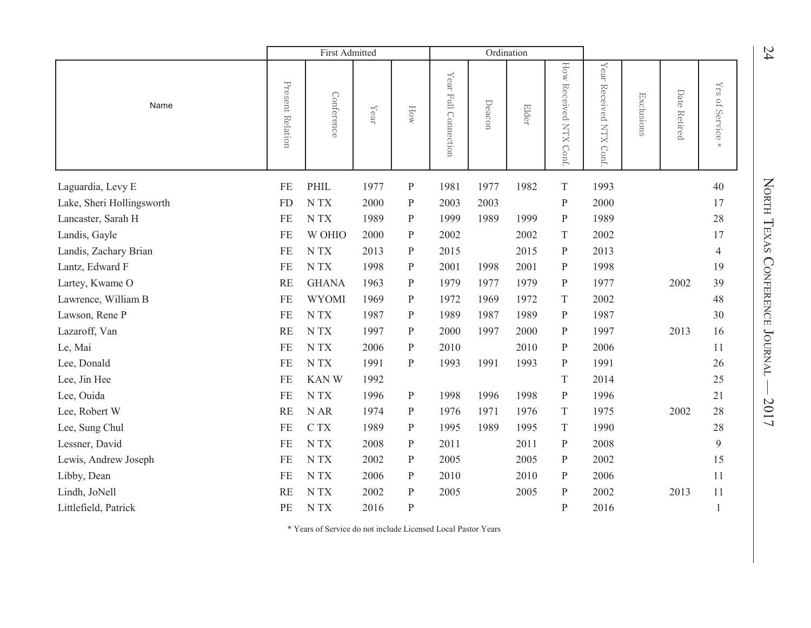|                           | First Admitted   |                  |                                            |              |                                         |        | Ordination |                        |                                           |            |                 |                                          |
|---------------------------|------------------|------------------|--------------------------------------------|--------------|-----------------------------------------|--------|------------|------------------------|-------------------------------------------|------------|-----------------|------------------------------------------|
| Name                      | Present Relation | Conference       | $\mathbf{Y}\mathbf{e}\mathbf{a}\mathbf{r}$ | How          | ${\it Y}$ ear<br><b>Full Connection</b> | Deacon | Elder      | How Received NTX Conf. | $\mathbf{Y}$ ear<br>Received NTX<br>Conf. | Exclusions | Date<br>Retired | $\rm YrS$<br>of Service<br>$\frac{1}{2}$ |
| Laguardia, Levy E         | FE               | PHIL             | 1977                                       | $\mathbf P$  | 1981                                    | 1977   | 1982       | $\mathbf T$            | 1993                                      |            |                 | 40                                       |
| Lake, Sheri Hollingsworth | <b>FD</b>        | NTX              | 2000                                       | $\mathbf P$  | 2003                                    | 2003   |            | ${\bf P}$              | 2000                                      |            |                 | 17                                       |
| Lancaster, Sarah H        | FE               | N TX             | 1989                                       | $\mathbf{P}$ | 1999                                    | 1989   | 1999       | $\mathbf{P}$           | 1989                                      |            |                 | 28                                       |
| Landis, Gayle             | FE               | W OHIO           | 2000                                       | $\mathbf{P}$ | 2002                                    |        | 2002       | T                      | 2002                                      |            |                 | 17                                       |
| Landis, Zachary Brian     | FE               | N TX             | 2013                                       | ${\bf P}$    | 2015                                    |        | 2015       | $\mathbf{P}$           | 2013                                      |            |                 | $\overline{4}$                           |
| Lantz, Edward F           | <b>FE</b>        | N <sub>T</sub> X | 1998                                       | $\mathbf{P}$ | 2001                                    | 1998   | 2001       | $\mathbf{P}$           | 1998                                      |            |                 | 19                                       |
| Lartey, Kwame O           | <b>RE</b>        | <b>GHANA</b>     | 1963                                       | ${\bf P}$    | 1979                                    | 1977   | 1979       | $\mathbf{P}$           | 1977                                      |            | 2002            | 39                                       |
| Lawrence, William B       | <b>FE</b>        | <b>WYOMI</b>     | 1969                                       | $\mathbf{P}$ | 1972                                    | 1969   | 1972       | $\mathbf T$            | 2002                                      |            |                 | 48                                       |
| Lawson, Rene P            | <b>FE</b>        | NTX              | 1987                                       | $\mathbf{P}$ | 1989                                    | 1987   | 1989       | $\mathbf{P}$           | 1987                                      |            |                 | 30                                       |
| Lazaroff, Van             | <b>RE</b>        | N TX             | 1997                                       | $\mathbf P$  | 2000                                    | 1997   | 2000       | $\mathbf{P}$           | 1997                                      |            | 2013            | 16                                       |
| Le, Mai                   | FE               | NTX              | 2006                                       | ${\bf P}$    | 2010                                    |        | 2010       | ${\bf P}$              | 2006                                      |            |                 | 11                                       |
| Lee, Donald               | <b>FE</b>        | N TX             | 1991                                       | $\mathbf{P}$ | 1993                                    | 1991   | 1993       | $\mathbf{P}$           | 1991                                      |            |                 | 26                                       |
| Lee, Jin Hee              | FE               | <b>KANW</b>      | 1992                                       |              |                                         |        |            | $\mathbf T$            | 2014                                      |            |                 | 25                                       |
| Lee, Ouida                | FE               | N TX             | 1996                                       | $\mathbf{P}$ | 1998                                    | 1996   | 1998       | $\mathbf{P}$           | 1996                                      |            |                 | 21                                       |
| Lee, Robert W             | <b>RE</b>        | N AR             | 1974                                       | ${\bf p}$    | 1976                                    | 1971   | 1976       | $\mathbf T$            | 1975                                      |            | 2002            | 28                                       |
| Lee, Sung Chul            | <b>FE</b>        | C TX             | 1989                                       | $\mathbf P$  | 1995                                    | 1989   | 1995       | T                      | 1990                                      |            |                 | 28                                       |
| Lessner, David            | FE               | NTX              | 2008                                       | $\mathbf{P}$ | 2011                                    |        | 2011       | ${\bf P}$              | 2008                                      |            |                 | 9                                        |
| Lewis, Andrew Joseph      | FE               | N TX             | 2002                                       | $\mathbf P$  | 2005                                    |        | 2005       | ${\bf P}$              | 2002                                      |            |                 | 15                                       |
| Libby, Dean               | FE               | N <sub>T</sub> X | 2006                                       | $\mathbf{P}$ | 2010                                    |        | 2010       | P                      | 2006                                      |            |                 | 11                                       |
| Lindh, JoNell             | <b>RE</b>        | N TX             | 2002                                       | $\mathbf P$  | 2005                                    |        | 2005       | P                      | 2002                                      |            | 2013            | 11                                       |
| Littlefield, Patrick      | PE               | N TX             | 2016                                       | P            |                                         |        |            | P                      | 2016                                      |            |                 | 1                                        |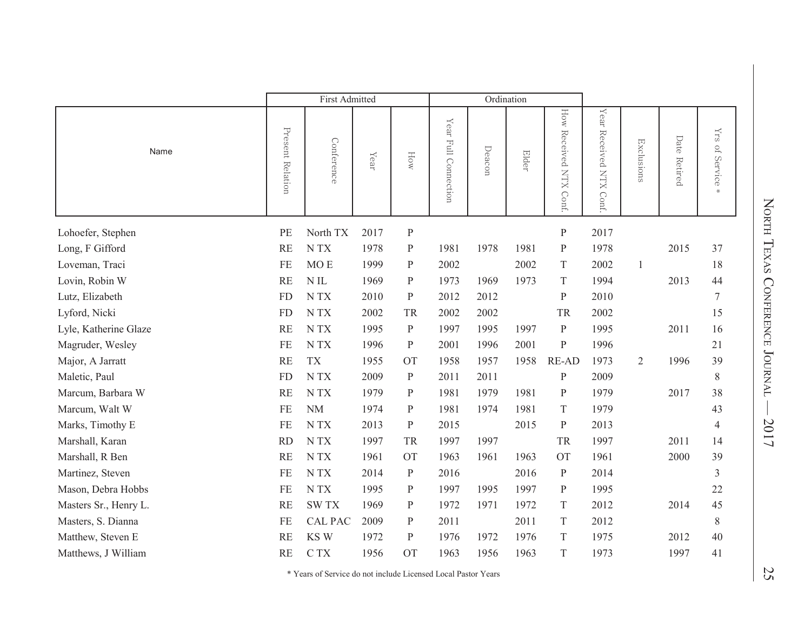|                       |                  | <b>First Admitted</b> |                  |              |                                                      | Ordination |       |                        |                                  |            |                 |                                  |
|-----------------------|------------------|-----------------------|------------------|--------------|------------------------------------------------------|------------|-------|------------------------|----------------------------------|------------|-----------------|----------------------------------|
| Name                  | Present Relation | Conference            | $\mathbf{Y}$ ear | How          | $\mathbf{Y}\mathbf{e}\mathbf{ar}$<br>Full Connection | Deacon     | Elder | How Received NTX Conf. | $Y$ ear<br>Received NTX<br>Conf. | Exclusions | Date<br>Retired | $\rm YrS$<br>$\Gamma$<br>Service |
| Lohoefer, Stephen     | PE               | North TX              | 2017             | ${\bf P}$    |                                                      |            |       | ${\bf P}$              | 2017                             |            |                 |                                  |
| Long, F Gifford       | <b>RE</b>        | N <sub>T</sub> X      | 1978             | $\mathbf P$  | 1981                                                 | 1978       | 1981  | ${\bf P}$              | 1978                             |            | 2015            | 37                               |
| Loveman, Traci        | <b>FE</b>        | MO <sub>E</sub>       | 1999             | $\mathbf P$  | 2002                                                 |            | 2002  | $\mathbf T$            | 2002                             | 1          |                 | 18                               |
| Lovin, Robin W        | <b>RE</b>        | $N$ IL                | 1969             | $\mathbf P$  | 1973                                                 | 1969       | 1973  | $\mathbf T$            | 1994                             |            | 2013            | 44                               |
| Lutz, Elizabeth       | <b>FD</b>        | N TX                  | 2010             | $\mathbf P$  | 2012                                                 | 2012       |       | $\mathbf{P}$           | 2010                             |            |                 | 7                                |
| Lyford, Nicki         | <b>FD</b>        | N TX                  | 2002             | TR           | 2002                                                 | 2002       |       | TR                     | 2002                             |            |                 | 15                               |
| Lyle, Katherine Glaze | <b>RE</b>        | N TX                  | 1995             | $\mathbf{P}$ | 1997                                                 | 1995       | 1997  | $\mathbf{P}$           | 1995                             |            | 2011            | 16                               |
| Magruder, Wesley      | FE               | N TX                  | 1996             | $\mathbf{P}$ | 2001                                                 | 1996       | 2001  | ${\bf P}$              | 1996                             |            |                 | 21                               |
| Major, A Jarratt      | <b>RE</b>        | <b>TX</b>             | 1955             | <b>OT</b>    | 1958                                                 | 1957       | 1958  | <b>RE-AD</b>           | 1973                             | 2          | 1996            | 39                               |
| Maletic, Paul         | <b>FD</b>        | N TX                  | 2009             | $\mathbf{P}$ | 2011                                                 | 2011       |       | ${\bf P}$              | 2009                             |            |                 | 8                                |
| Marcum, Barbara W     | <b>RE</b>        | N TX                  | 1979             | P            | 1981                                                 | 1979       | 1981  | P                      | 1979                             |            | 2017            | 38                               |
| Marcum, Walt W        | FE               | <b>NM</b>             | 1974             | $\mathbf{P}$ | 1981                                                 | 1974       | 1981  | T                      | 1979                             |            |                 | 43                               |
| Marks, Timothy E      | <b>FE</b>        | N TX                  | 2013             | $\mathbf{P}$ | 2015                                                 |            | 2015  | $\mathbf{P}$           | 2013                             |            |                 | 4                                |
| Marshall, Karan       | <b>RD</b>        | N TX                  | 1997             | TR           | 1997                                                 | 1997       |       | <b>TR</b>              | 1997                             |            | 2011            | 14                               |
| Marshall, R Ben       | <b>RE</b>        | N TX                  | 1961             | <b>OT</b>    | 1963                                                 | 1961       | 1963  | <b>OT</b>              | 1961                             |            | 2000            | 39                               |
| Martinez, Steven      | <b>FE</b>        | N TX                  | 2014             | $\mathbf P$  | 2016                                                 |            | 2016  | $\mathbf{P}$           | 2014                             |            |                 | 3                                |
| Mason, Debra Hobbs    | FE               | N TX                  | 1995             | ${\bf P}$    | 1997                                                 | 1995       | 1997  | ${\bf P}$              | 1995                             |            |                 | 22                               |
| Masters Sr., Henry L. | <b>RE</b>        | <b>SWTX</b>           | 1969             | P            | 1972                                                 | 1971       | 1972  | T                      | 2012                             |            | 2014            | 45                               |
| Masters, S. Dianna    | <b>FE</b>        | <b>CAL PAC</b>        | 2009             | P            | 2011                                                 |            | 2011  | T                      | 2012                             |            |                 | 8                                |
| Matthew, Steven E     | <b>RE</b>        | KS W                  | 1972             | $\mathbf{P}$ | 1976                                                 | 1972       | 1976  | $\mathbf T$            | 1975                             |            | 2012            | 40                               |
| Matthews, J William   | <b>RE</b>        | C TX                  | 1956             | <b>OT</b>    | 1963                                                 | 1956       | 1963  | T                      | 1973                             |            | 1997            | 41                               |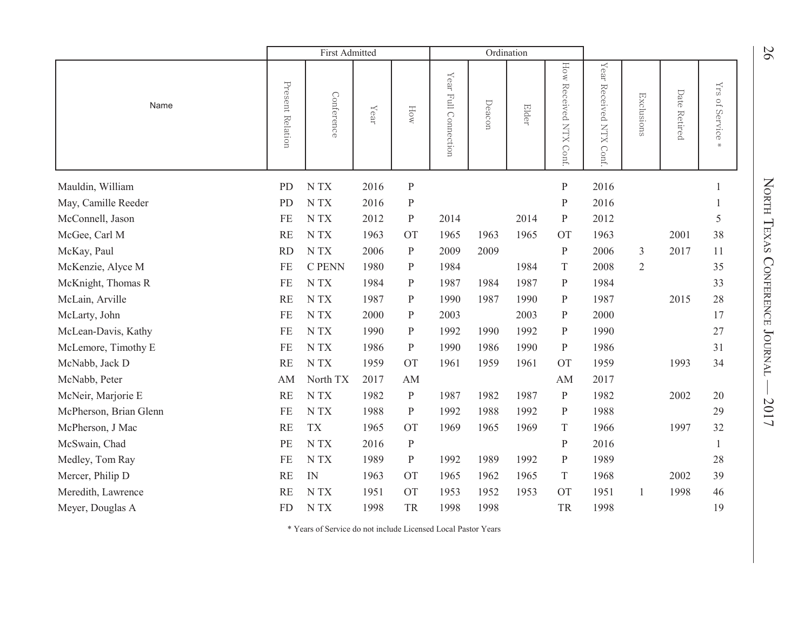|                        |                     | First Admitted             |      |              | Ordination              |        |       |                                     |                                           |                |                 |                     |
|------------------------|---------------------|----------------------------|------|--------------|-------------------------|--------|-------|-------------------------------------|-------------------------------------------|----------------|-----------------|---------------------|
| Name                   | Present<br>Relation | Conference                 | Year | How          | Year Full<br>Connection | Deacon | Elder | How<br>Received NTX<br><b>Conf.</b> | $\mathbf{Y}$ ear<br>Received NTX<br>Conf. | Exclusions     | Date<br>Retired | Yrs of Service<br>* |
| Mauldin, William       | PD                  | $\ensuremath{\text{N}}$ TX | 2016 | $\, {\bf P}$ |                         |        |       | $\mathbf{P}$                        | 2016                                      |                |                 |                     |
| May, Camille Reeder    | PD                  | N <sub>T</sub> X           | 2016 | $\mathbf{P}$ |                         |        |       | ${\bf P}$                           | 2016                                      |                |                 |                     |
| McConnell, Jason       | FE                  | N TX                       | 2012 | $\mathbf{P}$ | 2014                    |        | 2014  | $\mathbf{P}$                        | 2012                                      |                |                 | 5                   |
| McGee, Carl M          | <b>RE</b>           | N TX                       | 1963 | <b>OT</b>    | 1965                    | 1963   | 1965  | <b>OT</b>                           | 1963                                      |                | 2001            | 38                  |
| McKay, Paul            | <b>RD</b>           | N TX                       | 2006 | $\mathbf{P}$ | 2009                    | 2009   |       | $\, {\bf p}$                        | 2006                                      | 3              | 2017            | 11                  |
| McKenzie, Alyce M      | FE                  | <b>C PENN</b>              | 1980 | ${\bf P}$    | 1984                    |        | 1984  | $\mathbf T$                         | 2008                                      | $\overline{2}$ |                 | 35                  |
| McKnight, Thomas R     | FE                  | $\ensuremath{\text{N}}$ TX | 1984 | $\mathbf{P}$ | 1987                    | 1984   | 1987  | $\mathbf{P}$                        | 1984                                      |                |                 | 33                  |
| McLain, Arville        | <b>RE</b>           | N TX                       | 1987 | $\mathbf{P}$ | 1990                    | 1987   | 1990  | $\mathbf{P}$                        | 1987                                      |                | 2015            | 28                  |
| McLarty, John          | <b>FE</b>           | N TX                       | 2000 | $\mathbf P$  | 2003                    |        | 2003  | $\mathbf{P}$                        | 2000                                      |                |                 | 17                  |
| McLean-Davis, Kathy    | FE                  | N TX                       | 1990 | $\mathbf{P}$ | 1992                    | 1990   | 1992  | $\mathbf{P}$                        | 1990                                      |                |                 | 27                  |
| McLemore, Timothy E    | FE                  | N TX                       | 1986 | $\, {\bf p}$ | 1990                    | 1986   | 1990  | $\, {\bf P}$                        | 1986                                      |                |                 | 31                  |
| McNabb, Jack D         | <b>RE</b>           | N TX                       | 1959 | <b>OT</b>    | 1961                    | 1959   | 1961  | <b>OT</b>                           | 1959                                      |                | 1993            | 34                  |
| McNabb, Peter          | AM                  | North TX                   | 2017 | AM           |                         |        |       | AM                                  | 2017                                      |                |                 |                     |
| McNeir, Marjorie E     | <b>RE</b>           | N TX                       | 1982 | $\, {\bf p}$ | 1987                    | 1982   | 1987  | ${\bf P}$                           | 1982                                      |                | 2002            | 20                  |
| McPherson, Brian Glenn | FE                  | N TX                       | 1988 | $\mathbf{P}$ | 1992                    | 1988   | 1992  | $\mathbf{P}$                        | 1988                                      |                |                 | 29                  |
| McPherson, J Mac       | <b>RE</b>           | <b>TX</b>                  | 1965 | <b>OT</b>    | 1969                    | 1965   | 1969  | $\mathbf T$                         | 1966                                      |                | 1997            | 32                  |
| McSwain, Chad          | PE                  | N TX                       | 2016 | $\, {\bf p}$ |                         |        |       | $\, {\bf P}$                        | 2016                                      |                |                 | $\mathbf{1}$        |
| Medley, Tom Ray        | FE                  | N TX                       | 1989 | $\, {\bf p}$ | 1992                    | 1989   | 1992  | ${\bf P}$                           | 1989                                      |                |                 | 28                  |
| Mercer, Philip D       | <b>RE</b>           | IN                         | 1963 | <b>OT</b>    | 1965                    | 1962   | 1965  | T                                   | 1968                                      |                | 2002            | 39                  |
| Meredith, Lawrence     | <b>RE</b>           | N TX                       | 1951 | <b>OT</b>    | 1953                    | 1952   | 1953  | <b>OT</b>                           | 1951                                      | 1              | 1998            | 46                  |
| Meyer, Douglas A       | <b>FD</b>           | N TX                       | 1998 | TR           | 1998                    | 1998   |       | <b>TR</b>                           | 1998                                      |                |                 | 19                  |

North TEXAS CONFERE e Journal — 2017  $-2017$ 

26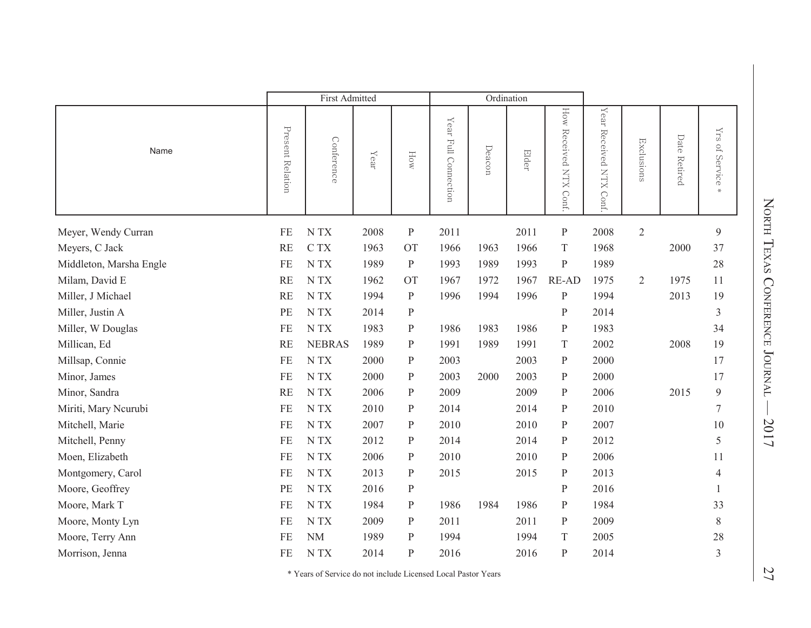|                         |                  | <b>First Admitted</b> |                                            |              |                                                    |        | Ordination |                           |                                     |                |                 |                                              |
|-------------------------|------------------|-----------------------|--------------------------------------------|--------------|----------------------------------------------------|--------|------------|---------------------------|-------------------------------------|----------------|-----------------|----------------------------------------------|
| Name                    | Present Relation | Conference            | $\mathbf{Y}\mathbf{e}\mathbf{a}\mathbf{r}$ | How          | $\mathbf{Y}\mathbf{ear}$<br><b>Full Connection</b> | Deacon | Elder      | How Received NTX Conf.    | $Y$ ear<br>Received<br>XLN<br>Conf. | Exclusions     | Date<br>Retired | $\rm YrS$<br>JO.<br>Service<br>$\frac{1}{2}$ |
| Meyer, Wendy Curran     | FE               | NTX                   | 2008                                       | ${\bf P}$    | 2011                                               |        | 2011       | ${\bf P}$                 | 2008                                | $\overline{2}$ |                 | 9                                            |
| Meyers, C Jack          | RE               | C TX                  | 1963                                       | <b>OT</b>    | 1966                                               | 1963   | 1966       | $\mathbf T$               | 1968                                |                | 2000            | 37                                           |
| Middleton, Marsha Engle | <b>FE</b>        | N TX                  | 1989                                       | ${\bf P}$    | 1993                                               | 1989   | 1993       | $\mathbf{P}$              | 1989                                |                |                 | 28                                           |
| Milam, David E          | RE               | NTX                   | 1962                                       | <b>OT</b>    | 1967                                               | 1972   | 1967       | <b>RE-AD</b>              | 1975                                | $\overline{2}$ | 1975            | 11                                           |
| Miller, J Michael       | RE               | NTX                   | 1994                                       | $\mathbf{P}$ | 1996                                               | 1994   | 1996       | $\, {\bf p}$              | 1994                                |                | 2013            | 19                                           |
| Miller, Justin A        | PE               | N TX                  | 2014                                       | $\, {\bf P}$ |                                                    |        |            | $\mathbf P$               | 2014                                |                |                 | 3                                            |
| Miller, W Douglas       | <b>FE</b>        | NTX                   | 1983                                       | ${\bf P}$    | 1986                                               | 1983   | 1986       | $\mathbf{P}$              | 1983                                |                |                 | 34                                           |
| Millican, Ed            | <b>RE</b>        | <b>NEBRAS</b>         | 1989                                       | $\mathbf{P}$ | 1991                                               | 1989   | 1991       | T                         | 2002                                |                | 2008            | 19                                           |
| Millsap, Connie         | <b>FE</b>        | N TX                  | 2000                                       | ${\bf P}$    | 2003                                               |        | 2003       | $\mathbf P$               | 2000                                |                |                 | 17                                           |
| Minor, James            | FE               | N TX                  | 2000                                       | $\, {\bf P}$ | 2003                                               | 2000   | 2003       | $\mathbf P$               | 2000                                |                |                 | 17                                           |
| Minor, Sandra           | RE               | NTX                   | 2006                                       | P            | 2009                                               |        | 2009       | P                         | 2006                                |                | 2015            | 9                                            |
| Miriti, Mary Neurubi    | FE               | NTX                   | 2010                                       | P            | 2014                                               |        | 2014       | P                         | 2010                                |                |                 | 7                                            |
| Mitchell, Marie         | FE               | NTX                   | 2007                                       | $\mathbf{P}$ | 2010                                               |        | 2010       | ${\bf P}$                 | 2007                                |                |                 | 10                                           |
| Mitchell, Penny         | <b>FE</b>        | NTX                   | 2012                                       | $\mathbf{P}$ | 2014                                               |        | 2014       | ${\bf P}$                 | 2012                                |                |                 | 5                                            |
| Moen, Elizabeth         | FE               | NTX                   | 2006                                       | $\mathbf{P}$ | 2010                                               |        | 2010       | $\mathbf{P}$              | 2006                                |                |                 | 11                                           |
| Montgomery, Carol       | FE               | NTX                   | 2013                                       | $\mathbf P$  | 2015                                               |        | 2015       | $\mathbf P$               | 2013                                |                |                 | 4                                            |
| Moore, Geoffrey         | PE               | NTX                   | 2016                                       | $\, {\bf P}$ |                                                    |        |            | $\mathbf{P}$              | 2016                                |                |                 |                                              |
| Moore, Mark T           | <b>FE</b>        | NTX                   | 1984                                       | P            | 1986                                               | 1984   | 1986       | $\mathbf{P}$              | 1984                                |                |                 | 33                                           |
| Moore, Monty Lyn        | <b>FE</b>        | N TX                  | 2009                                       | $\mathbf{P}$ | 2011                                               |        | 2011       | P                         | 2009                                |                |                 | 8                                            |
| Moore, Terry Ann        | FE               | <b>NM</b>             | 1989                                       | P            | 1994                                               |        | 1994       | $\boldsymbol{\mathrm{T}}$ | 2005                                |                |                 | 28                                           |
| Morrison, Jenna         | <b>FE</b>        | NTX                   | 2014                                       | $\mathbf{P}$ | 2016                                               |        | 2016       | P                         | 2014                                |                |                 | 3                                            |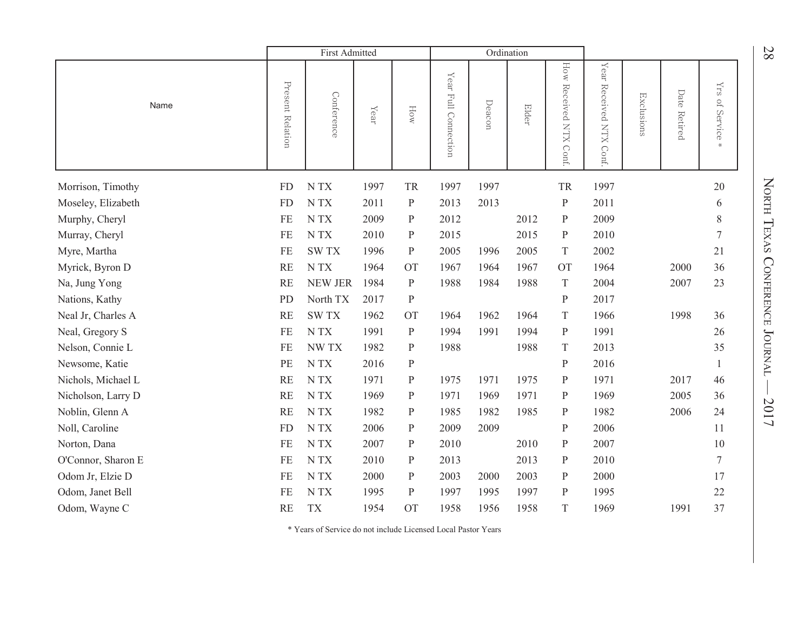|                    | First Admitted      |                  |                                            |              |                                         |        | Ordination |                           |                                           |            |                 |                                              |
|--------------------|---------------------|------------------|--------------------------------------------|--------------|-----------------------------------------|--------|------------|---------------------------|-------------------------------------------|------------|-----------------|----------------------------------------------|
| Name               | Present<br>Relation | Conference       | $\mathbf{Y}\mathbf{e}\mathbf{a}\mathbf{r}$ | How          | ${\it Y}$ ear<br><b>Full Connection</b> | Deacon | Elder      | How Received NTX<br>Conf. | $\mathbf{Y}$ ear<br>Received NTX<br>Conf. | Exclusions | Date<br>Retired | $\Upsilon$ rs<br>of Service<br>$\frac{1}{2}$ |
| Morrison, Timothy  | <b>FD</b>           | N TX             | 1997                                       | TR           | 1997                                    | 1997   |            | TR                        | 1997                                      |            |                 | 20                                           |
| Moseley, Elizabeth | <b>FD</b>           | N TX             | 2011                                       | ${\bf P}$    | 2013                                    | 2013   |            | ${\bf P}$                 | 2011                                      |            |                 | 6                                            |
| Murphy, Cheryl     | FE                  | N TX             | 2009                                       | $\mathbf P$  | 2012                                    |        | 2012       | $\mathbf{P}$              | 2009                                      |            |                 | 8                                            |
| Murray, Cheryl     | FE                  | N <sub>T</sub> X | 2010                                       | $\mathbf P$  | 2015                                    |        | 2015       | ${\bf P}$                 | 2010                                      |            |                 | $\sqrt{ }$                                   |
| Myre, Martha       | <b>FE</b>           | <b>SWTX</b>      | 1996                                       | ${\bf P}$    | 2005                                    | 1996   | 2005       | T                         | 2002                                      |            |                 | 21                                           |
| Myrick, Byron D    | <b>RE</b>           | N TX             | 1964                                       | <b>OT</b>    | 1967                                    | 1964   | 1967       | <b>OT</b>                 | 1964                                      |            | 2000            | 36                                           |
| Na, Jung Yong      | <b>RE</b>           | <b>NEW JER</b>   | 1984                                       | $\mathbf{P}$ | 1988                                    | 1984   | 1988       | $\mathbf T$               | 2004                                      |            | 2007            | 23                                           |
| Nations, Kathy     | PD                  | North TX         | 2017                                       | ${\bf P}$    |                                         |        |            | $\mathbf{P}$              | 2017                                      |            |                 |                                              |
| Neal Jr, Charles A | <b>RE</b>           | <b>SWTX</b>      | 1962                                       | <b>OT</b>    | 1964                                    | 1962   | 1964       | $\mathbf T$               | 1966                                      |            | 1998            | 36                                           |
| Neal, Gregory S    | FE                  | N TX             | 1991                                       | $\mathbf P$  | 1994                                    | 1991   | 1994       | $\mathbf{P}$              | 1991                                      |            |                 | 26                                           |
| Nelson, Connie L   | FE                  | <b>NWTX</b>      | 1982                                       | $\mathbf P$  | 1988                                    |        | 1988       | $\mathbf T$               | 2013                                      |            |                 | 35                                           |
| Newsome, Katie     | PE                  | N TX             | 2016                                       | $\mathbf{P}$ |                                         |        |            | ${\bf P}$                 | 2016                                      |            |                 | 1                                            |
| Nichols, Michael L | <b>RE</b>           | N TX             | 1971                                       | $\mathbf P$  | 1975                                    | 1971   | 1975       | P                         | 1971                                      |            | 2017            | 46                                           |
| Nicholson, Larry D | <b>RE</b>           | N TX             | 1969                                       | $\mathbf P$  | 1971                                    | 1969   | 1971       | $\mathbf{P}$              | 1969                                      |            | 2005            | 36                                           |
| Noblin, Glenn A    | <b>RE</b>           | N TX             | 1982                                       | ${\bf P}$    | 1985                                    | 1982   | 1985       | $\mathbf{P}$              | 1982                                      |            | 2006            | 24                                           |
| Noll, Caroline     | <b>FD</b>           | N <sub>T</sub> X | 2006                                       | $\mathbf P$  | 2009                                    | 2009   |            | P                         | 2006                                      |            |                 | 11                                           |
| Norton, Dana       | <b>FE</b>           | N TX             | 2007                                       | $\mathbf P$  | 2010                                    |        | 2010       | $\mathbf{P}$              | 2007                                      |            |                 | 10                                           |
| O'Connor, Sharon E | FE                  | N TX             | 2010                                       | $\mathbf P$  | 2013                                    |        | 2013       | $\mathbf{P}$              | 2010                                      |            |                 | 7                                            |
| Odom Jr, Elzie D   | <b>FE</b>           | N TX             | 2000                                       | $\mathbf P$  | 2003                                    | 2000   | 2003       | $\mathbf{P}$              | 2000                                      |            |                 | 17                                           |
| Odom, Janet Bell   | FE                  | N TX             | 1995                                       | $\mathbf P$  | 1997                                    | 1995   | 1997       | P                         | 1995                                      |            |                 | 22                                           |
| Odom, Wayne C      | <b>RE</b>           | <b>TX</b>        | 1954                                       | <b>OT</b>    | 1958                                    | 1956   | 1958       | T                         | 1969                                      |            | 1991            | 37                                           |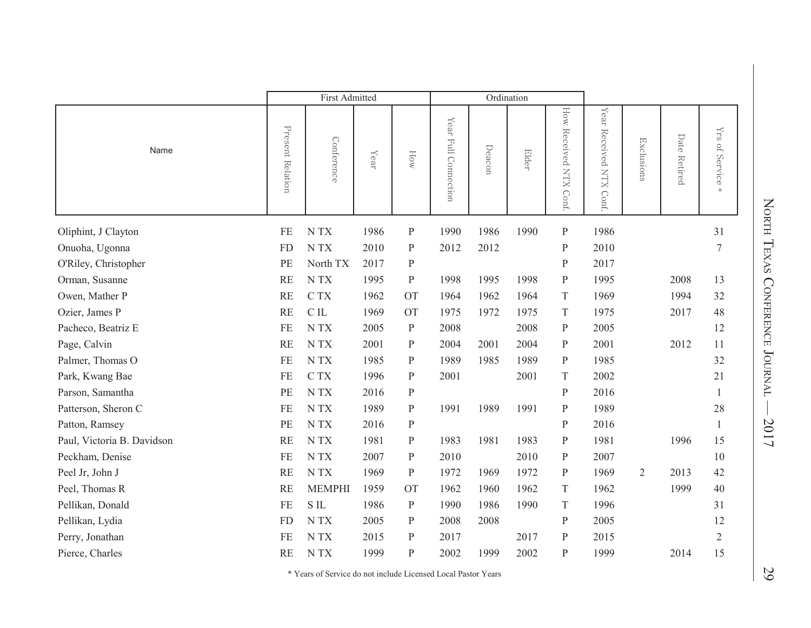|                            |                  | <b>First Admitted</b> |               |              |                                            |        | Ordination |                           |                               |                |                 |                         |
|----------------------------|------------------|-----------------------|---------------|--------------|--------------------------------------------|--------|------------|---------------------------|-------------------------------|----------------|-----------------|-------------------------|
| Name                       | Present Relation | Conference            | ${\it Y}$ ear | How          | $\mathbf{Y}$ ear<br><b>Full Connection</b> | Deacon | Elder      | How Received NTX<br>Conf. | Year<br>Received NTX<br>Conf. | Exclusions     | Date<br>Retired | $\rm YrS$<br>of Service |
| Oliphint, J Clayton        | <b>FE</b>        | N TX                  | 1986          | ${\bf P}$    | 1990                                       | 1986   | 1990       | $\mathbf{P}$              | 1986                          |                |                 | 31                      |
| Onuoha, Ugonna             | <b>FD</b>        | N TX                  | 2010          | $\mathbf P$  | 2012                                       | 2012   |            | $\mathbf P$               | 2010                          |                |                 | 7                       |
| O'Riley, Christopher       | PE               | North TX              | 2017          | ${\bf P}$    |                                            |        |            | $\mathbf P$               | 2017                          |                |                 |                         |
| Orman, Susanne             | <b>RE</b>        | N TX                  | 1995          | $\mathbf{P}$ | 1998                                       | 1995   | 1998       | ${\bf P}$                 | 1995                          |                | 2008            | 13                      |
| Owen, Mather P             | <b>RE</b>        | C TX                  | 1962          | <b>OT</b>    | 1964                                       | 1962   | 1964       | $\mathbf T$               | 1969                          |                | 1994            | 32                      |
| Ozier, James P             | <b>RE</b>        | $\rm C\,IL$           | 1969          | <b>OT</b>    | 1975                                       | 1972   | 1975       | $\mathbf T$               | 1975                          |                | 2017            | 48                      |
| Pacheco, Beatriz E         | FE               | N TX                  | 2005          | $\mathbf{P}$ | 2008                                       |        | 2008       | $\mathbf{P}$              | 2005                          |                |                 | 12                      |
| Page, Calvin               | <b>RE</b>        | N TX                  | 2001          | ${\bf P}$    | 2004                                       | 2001   | 2004       | $\mathbf P$               | 2001                          |                | 2012            | 11                      |
| Palmer, Thomas O           | FE               | N TX                  | 1985          | $\mathbf P$  | 1989                                       | 1985   | 1989       | $\mathbf{P}$              | 1985                          |                |                 | 32                      |
| Park, Kwang Bae            | <b>FE</b>        | C TX                  | 1996          | $\mathbf{P}$ | 2001                                       |        | 2001       | T                         | 2002                          |                |                 | 21                      |
| Parson, Samantha           | PE               | N TX                  | 2016          | $\mathbf P$  |                                            |        |            | P                         | 2016                          |                |                 | $\mathbf{1}$            |
| Patterson, Sheron C        | <b>FE</b>        | N TX                  | 1989          | $\mathbf P$  | 1991                                       | 1989   | 1991       | P                         | 1989                          |                |                 | 28                      |
| Patton, Ramsey             | PE               | N TX                  | 2016          | ${\bf P}$    |                                            |        |            | $\mathbf P$               | 2016                          |                |                 |                         |
| Paul, Victoria B. Davidson | <b>RE</b>        | N TX                  | 1981          | $\mathbf P$  | 1983                                       | 1981   | 1983       | $\mathbf P$               | 1981                          |                | 1996            | 15                      |
| Peckham, Denise            | FE               | N TX                  | 2007          | $\mathbf{P}$ | 2010                                       |        | 2010       | $\, {\bf P}$              | 2007                          |                |                 | 10                      |
| Peel Jr, John J            | <b>RE</b>        | N TX                  | 1969          | $\mathbf P$  | 1972                                       | 1969   | 1972       | $\mathbf{P}$              | 1969                          | $\overline{2}$ | 2013            | 42                      |
| Peel, Thomas R             | <b>RE</b>        | <b>MEMPHI</b>         | 1959          | <b>OT</b>    | 1962                                       | 1960   | 1962       | $\mathbf T$               | 1962                          |                | 1999            | 40                      |
| Pellikan, Donald           | FE               | $S$ IL                | 1986          | $\mathbf{P}$ | 1990                                       | 1986   | 1990       | $\mathbf T$               | 1996                          |                |                 | 31                      |
| Pellikan, Lydia            | <b>FD</b>        | N TX                  | 2005          | $\mathbf{P}$ | 2008                                       | 2008   |            | $\, {\bf P}$              | 2005                          |                |                 | 12                      |
| Perry, Jonathan            | FE               | N TX                  | 2015          | $\mathbf P$  | 2017                                       |        | 2017       | $\mathbf P$               | 2015                          |                |                 | $\overline{2}$          |
| Pierce, Charles            | RE               | NTX                   | 1999          | P            | 2002                                       | 1999   | 2002       | P                         | 1999                          |                | 2014            | 15                      |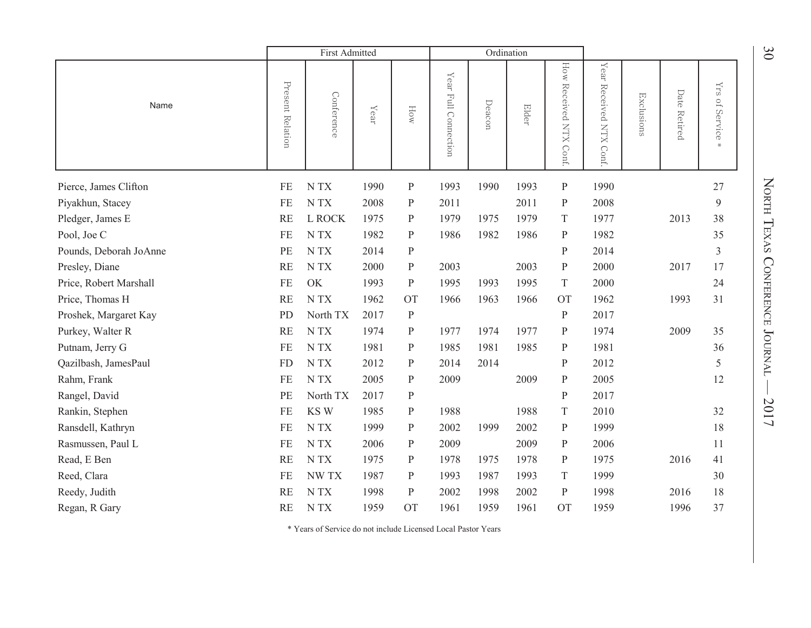|                        |                     | <b>First Admitted</b> |               | Ordination   |                                         |        |       |                           |                                           |            |                 |                          |
|------------------------|---------------------|-----------------------|---------------|--------------|-----------------------------------------|--------|-------|---------------------------|-------------------------------------------|------------|-----------------|--------------------------|
| Name                   | Present<br>Relation | Conference            | ${\it Y}$ ear | How          | ${\it Y}$ ear<br><b>Full Connection</b> | Deacon | Elder | How Received NTX<br>Conf. | $\mathbf{Y}$ ear<br>Received NTX<br>Conf. | Exclusions | Date<br>Retired | Yrs of Service<br>$\ast$ |
| Pierce, James Clifton  | FE                  | N TX                  | 1990          | $\mathbf P$  | 1993                                    | 1990   | 1993  | ${\bf P}$                 | 1990                                      |            |                 | 27                       |
| Piyakhun, Stacey       | <b>FE</b>           | N TX                  | 2008          | ${\bf P}$    | 2011                                    |        | 2011  | $\mathbf{P}$              | 2008                                      |            |                 | 9                        |
| Pledger, James E       | <b>RE</b>           | <b>L ROCK</b>         | 1975          | $\mathbf P$  | 1979                                    | 1975   | 1979  | $\mathbf T$               | 1977                                      |            | 2013            | 38                       |
| Pool, Joe C            | FE                  | N TX                  | 1982          | $\mathbf P$  | 1986                                    | 1982   | 1986  | $\mathbf{P}$              | 1982                                      |            |                 | 35                       |
| Pounds, Deborah JoAnne | PE                  | N <sub>T</sub> X      | 2014          | ${\bf P}$    |                                         |        |       | ${\bf P}$                 | 2014                                      |            |                 | $\overline{3}$           |
| Presley, Diane         | RE                  | N TX                  | 2000          | $\mathbf{P}$ | 2003                                    |        | 2003  | $\mathbf{P}$              | 2000                                      |            | 2017            | 17                       |
| Price, Robert Marshall | FE                  | OK                    | 1993          | $\mathbf{P}$ | 1995                                    | 1993   | 1995  | $\mathbf T$               | 2000                                      |            |                 | 24                       |
| Price, Thomas H        | <b>RE</b>           | N TX                  | 1962          | <b>OT</b>    | 1966                                    | 1963   | 1966  | <b>OT</b>                 | 1962                                      |            | 1993            | 31                       |
| Proshek, Margaret Kay  | PD                  | North TX              | 2017          | $\mathbf P$  |                                         |        |       | $\mathbf{P}$              | 2017                                      |            |                 |                          |
| Purkey, Walter R       | <b>RE</b>           | N TX                  | 1974          | ${\bf p}$    | 1977                                    | 1974   | 1977  | $\mathbf{P}$              | 1974                                      |            | 2009            | 35                       |
| Putnam, Jerry G        | <b>FE</b>           | N <sub>T</sub> X      | 1981          | $\mathbf P$  | 1985                                    | 1981   | 1985  | $\mathbf{P}$              | 1981                                      |            |                 | 36                       |
| Qazilbash, JamesPaul   | <b>FD</b>           | N TX                  | 2012          | ${\bf P}$    | 2014                                    | 2014   |       | $\mathbf{P}$              | 2012                                      |            |                 | 5                        |
| Rahm, Frank            | <b>FE</b>           | N TX                  | 2005          | ${\bf P}$    | 2009                                    |        | 2009  | $\mathbf{P}$              | 2005                                      |            |                 | 12                       |
| Rangel, David          | PE                  | North TX              | 2017          | $\mathbf P$  |                                         |        |       | ${\bf P}$                 | 2017                                      |            |                 |                          |
| Rankin, Stephen        | FE                  | KS W                  | 1985          | ${\bf p}$    | 1988                                    |        | 1988  | $\mathbf T$               | 2010                                      |            |                 | 32                       |
| Ransdell, Kathryn      | FE                  | N TX                  | 1999          | $\mathbf P$  | 2002                                    | 1999   | 2002  | P                         | 1999                                      |            |                 | 18                       |
| Rasmussen, Paul L      | FE                  | N <sub>T</sub> X      | 2006          | $\mathbf P$  | 2009                                    |        | 2009  | P                         | 2006                                      |            |                 | 11                       |
| Read, E Ben            | <b>RE</b>           | N <sub>T</sub> X      | 1975          | $\mathbf{P}$ | 1978                                    | 1975   | 1978  | ${\bf P}$                 | 1975                                      |            | 2016            | 41                       |
| Reed, Clara            | FE                  | <b>NWTX</b>           | 1987          | $\mathbf{P}$ | 1993                                    | 1987   | 1993  | T                         | 1999                                      |            |                 | 30                       |
| Reedy, Judith          | <b>RE</b>           | N <sub>T</sub> X      | 1998          | $\mathbf P$  | 2002                                    | 1998   | 2002  | $\mathbf{P}$              | 1998                                      |            | 2016            | 18                       |
| Regan, R Gary          | <b>RE</b>           | N <sub>T</sub> X      | 1959          | <b>OT</b>    | 1961                                    | 1959   | 1961  | <b>OT</b>                 | 1959                                      |            | 1996            | 37                       |

North TEXAS CONFERE e Journal — 2017  $-2017$ 

30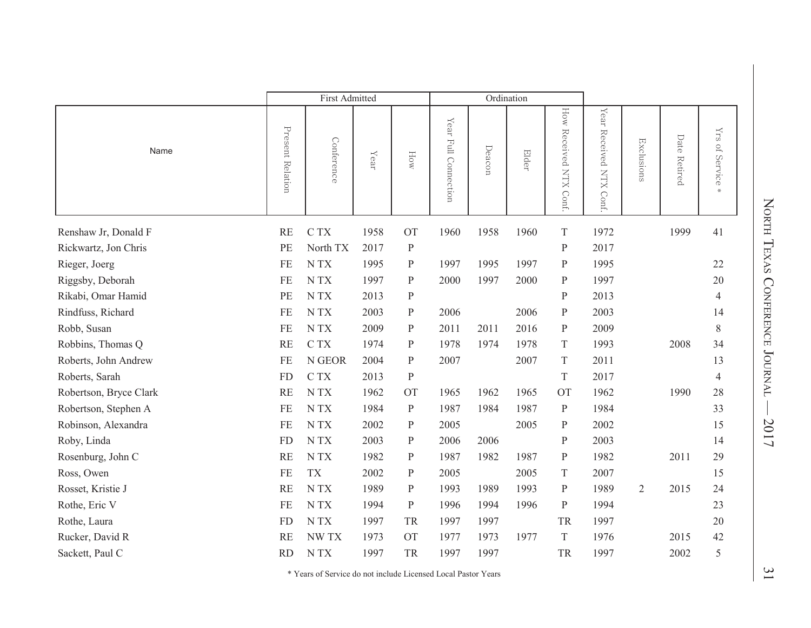First Admitted Ordination Year Received NTX How Received NTX Conf. How Received NTX Conf. Year Received NTX Conf. Year Full Connection Year Full Connection Present Relation  $\rm Yrs$ Present Relation Yrs of Service \* Date Retired Date Retired Conference Conference Exclusions Exclusions СŤ Deacon NameElder Year How <sup>5</sup> Service Conf.  $\ast$ Renshaw Jr, Donald F RE C TX 1958 OT 1960 1958 1960 T 1972 1999 41 Rickwartz, Jon Chris PE North TX 2017 P P 2017 Rieger, Joerg FE N TX 1995 P 1997 1995 1997 P 1995 22 Riggsby, Deborah FE N TX 1997 P 2000 1997 2000 P 1997 20 Rikabi, Omar Hamid PE N TX 2013 P P 2013 4 Rindfuss, Richard FE N TX 2003 P 2006 2006 P 2003 14 Robb, Susan FE N TX 2009 P 2011 2011 2016 P 2009 8 Robbins, Thomas Q RE C TX 1974 P 1978 1974 1978 T 1993 2008 34 Roberts, John Andrew FE N GEOR 2004 P 2007 2007 T 2011 13 Roberts, Sarah FD C TX 2013 P T 2017 4 Robertson, Bryce Clark **RE** N TX 1962 OT 1965 1962 1965 OT 1962 1990 28 Robertson, Stephen A **FE N TX** 1984 P 1987 1984 1987 P 1984 33 Robinson, Alexandra FE N TX 2002 P 2005 2005 P 2002 15 Roby, Linda FD N TX 2003 P 2006 2006 P 2003 14 Rosenburg, John C RE N TX 1982 P 1987 1982 1987 P 1982 2011 29 Ross, Owen FE TX 2002 P 2005 2005 T 2007 15 Rosset, Kristie J RE N TX 1989 P 1993 1989 1993 P 1989 2 2015 24 Rothe, Eric V **FE N TX** 1994 P 1996 1994 1996 P 1994 23 Rothe, Laura FD N TX 1997 TR 1997 1997 TR 1997 20 Rucker, David R RE NW TX 1973 OT 1977 1973 1977 T 1976 2015 42 Sackett, Paul C RD N TX 1997 TR 1997 1997 TR 1997 2002 5

North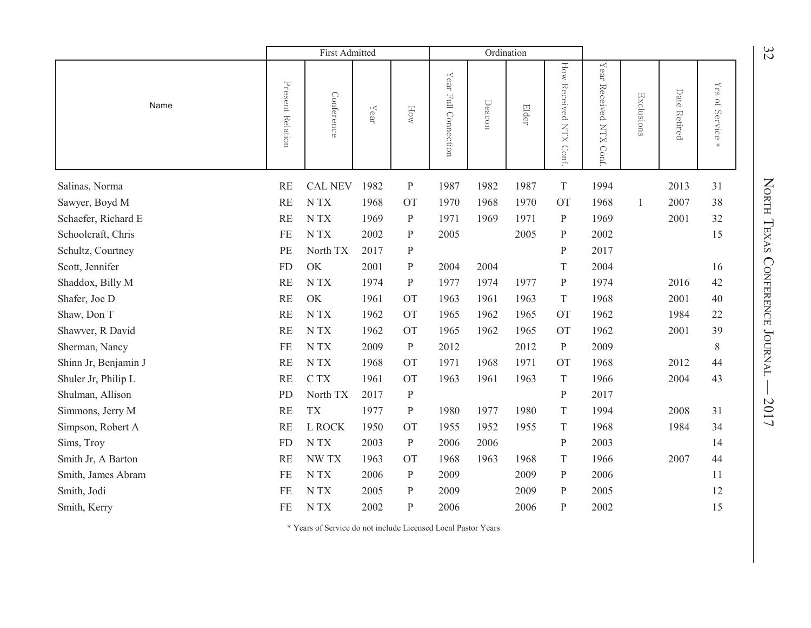|                      |                  | First Admitted |               |              |                                     | Ordination |       |                              |                                                   |            |                 |                     |
|----------------------|------------------|----------------|---------------|--------------|-------------------------------------|------------|-------|------------------------------|---------------------------------------------------|------------|-----------------|---------------------|
| Name                 | Present Relation | Conference     | ${\it Y}$ ear | How          | ${\it Y}$ ear<br>Full<br>Connection | Deacon     | Elder | How<br>Received NTX<br>Conf. | $\mathbf{Y}\mathbf{ear}$<br>Received NTX<br>Conf. | Exclusions | Date<br>Retired | Yrs of Service<br>₩ |
| Salinas, Norma       | <b>RE</b>        | <b>CAL NEV</b> | 1982          | $\mathbf{P}$ | 1987                                | 1982       | 1987  | T                            | 1994                                              |            | 2013            | 31                  |
| Sawyer, Boyd M       | <b>RE</b>        | N TX           | 1968          | <b>OT</b>    | 1970                                | 1968       | 1970  | <b>OT</b>                    | 1968                                              | 1          | 2007            | 38                  |
| Schaefer, Richard E  | <b>RE</b>        | N TX           | 1969          | $\mathbf{P}$ | 1971                                | 1969       | 1971  | $\mathbf{P}$                 | 1969                                              |            | 2001            | 32                  |
| Schoolcraft, Chris   | FE               | N TX           | 2002          | $\mathbf{P}$ | 2005                                |            | 2005  | ${\bf P}$                    | 2002                                              |            |                 | 15                  |
| Schultz, Courtney    | PE               | North TX       | 2017          | $\mathbf{P}$ |                                     |            |       | ${\bf P}$                    | 2017                                              |            |                 |                     |
| Scott, Jennifer      | <b>FD</b>        | OK             | 2001          | $\mathbf{P}$ | 2004                                | 2004       |       | T                            | 2004                                              |            |                 | 16                  |
| Shaddox, Billy M     | RE               | N TX           | 1974          | ${\bf P}$    | 1977                                | 1974       | 1977  | ${\bf P}$                    | 1974                                              |            | 2016            | 42                  |
| Shafer, Joe D        | <b>RE</b>        | OK             | 1961          | <b>OT</b>    | 1963                                | 1961       | 1963  | T                            | 1968                                              |            | 2001            | 40                  |
| Shaw, Don T          | <b>RE</b>        | N TX           | 1962          | <b>OT</b>    | 1965                                | 1962       | 1965  | <b>OT</b>                    | 1962                                              |            | 1984            | 22                  |
| Shawver, R David     | <b>RE</b>        | N TX           | 1962          | <b>OT</b>    | 1965                                | 1962       | 1965  | <b>OT</b>                    | 1962                                              |            | 2001            | 39                  |
| Sherman, Nancy       | FE               | N TX           | 2009          | $\, {\bf p}$ | 2012                                |            | 2012  | ${\bf P}$                    | 2009                                              |            |                 | $8\,$               |
| Shinn Jr, Benjamin J | <b>RE</b>        | N TX           | 1968          | <b>OT</b>    | 1971                                | 1968       | 1971  | <b>OT</b>                    | 1968                                              |            | 2012            | 44                  |
| Shuler Jr, Philip L  | RE               | C TX           | 1961          | <b>OT</b>    | 1963                                | 1961       | 1963  | $\mathbf T$                  | 1966                                              |            | 2004            | 43                  |
| Shulman, Allison     | PD               | North TX       | 2017          | $\mathbf{P}$ |                                     |            |       | $\, {\bf p}$                 | 2017                                              |            |                 |                     |
| Simmons, Jerry M     | <b>RE</b>        | <b>TX</b>      | 1977          | $\, {\bf p}$ | 1980                                | 1977       | 1980  | $\mathbf T$                  | 1994                                              |            | 2008            | 31                  |
| Simpson, Robert A    | <b>RE</b>        | <b>L ROCK</b>  | 1950          | <b>OT</b>    | 1955                                | 1952       | 1955  | T                            | 1968                                              |            | 1984            | 34                  |
| Sims, Troy           | <b>FD</b>        | N TX           | 2003          | $\, {\bf p}$ | 2006                                | 2006       |       | ${\bf P}$                    | 2003                                              |            |                 | 14                  |
| Smith Jr, A Barton   | <b>RE</b>        | NW TX          | 1963          | <b>OT</b>    | 1968                                | 1963       | 1968  | $\mathbf T$                  | 1966                                              |            | 2007            | 44                  |
| Smith, James Abram   | <b>FE</b>        | N TX           | 2006          | ${\bf P}$    | 2009                                |            | 2009  | $\, {\bf p}$                 | 2006                                              |            |                 | 11                  |
| Smith, Jodi          | <b>FE</b>        | N TX           | 2005          | $\mathbf{P}$ | 2009                                |            | 2009  | P                            | 2005                                              |            |                 | 12                  |
| Smith, Kerry         | <b>FE</b>        | N TX           | 2002          | $\mathbf{P}$ | 2006                                |            | 2006  | P                            | 2002                                              |            |                 | 15                  |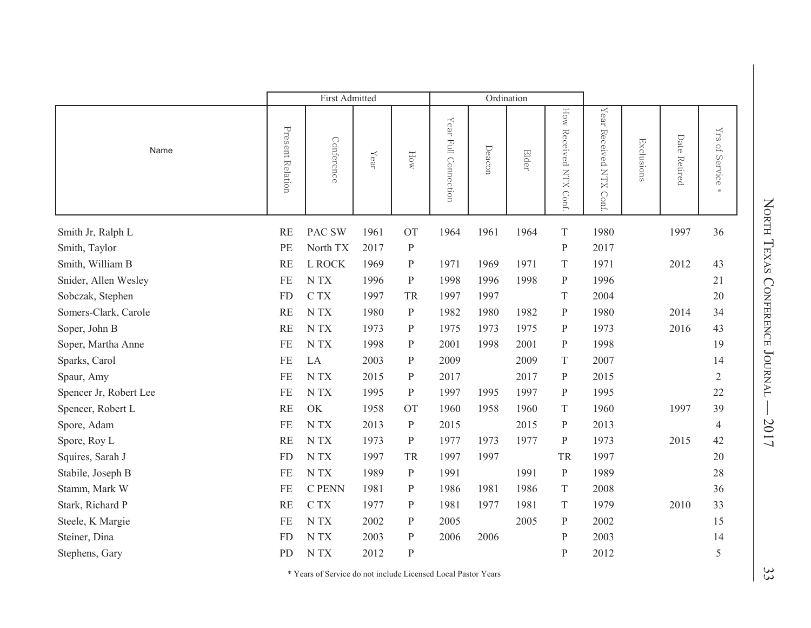|                        |                  | <b>First Admitted</b>      |      |              |                                     | Ordination |       |                        |                               |            |                 |                         |
|------------------------|------------------|----------------------------|------|--------------|-------------------------------------|------------|-------|------------------------|-------------------------------|------------|-----------------|-------------------------|
| Name                   | Present Relation | Conference                 | Year | How          | $\mathbf{Y}$ ear<br>Full Connection | Deacon     | Elder | How Received NTX Conf. | Year<br>Received NTX<br>Conf. | Exclusions | Date<br>Retired | $\rm Yrs$<br>of Service |
| Smith Jr, Ralph L      | RE               | PAC SW                     | 1961 | <b>OT</b>    | 1964                                | 1961       | 1964  | $\mathbf T$            | 1980                          |            | 1997            | 36                      |
| Smith, Taylor          | PE               | North TX                   | 2017 | $\mathbf{P}$ |                                     |            |       | $\, {\bf P}$           | 2017                          |            |                 |                         |
| Smith, William B       | <b>RE</b>        | L ROCK                     | 1969 | P            | 1971                                | 1969       | 1971  | $\mathbf T$            | 1971                          |            | 2012            | 43                      |
| Snider, Allen Wesley   | <b>FE</b>        | $\ensuremath{\text{N}}$ TX | 1996 | $\mathbf{P}$ | 1998                                | 1996       | 1998  | ${\bf P}$              | 1996                          |            |                 | 21                      |
| Sobczak, Stephen       | <b>FD</b>        | C TX                       | 1997 | TR           | 1997                                | 1997       |       | $\mathbf T$            | 2004                          |            |                 | 20                      |
| Somers-Clark, Carole   | <b>RE</b>        | N TX                       | 1980 | $\mathbf{P}$ | 1982                                | 1980       | 1982  | $\mathbf{P}$           | 1980                          |            | 2014            | 34                      |
| Soper, John B          | <b>RE</b>        | N TX                       | 1973 | P            | 1975                                | 1973       | 1975  | $\mathbf{P}$           | 1973                          |            | 2016            | 43                      |
| Soper, Martha Anne     | FE               | N TX                       | 1998 | $\mathbf{P}$ | 2001                                | 1998       | 2001  | $\mathbf{P}$           | 1998                          |            |                 | 19                      |
| Sparks, Carol          | FE               | LA                         | 2003 | $\mathbf P$  | 2009                                |            | 2009  | $\mathbf T$            | 2007                          |            |                 | 14                      |
| Spaur, Amy             | <b>FE</b>        | N TX                       | 2015 | P            | 2017                                |            | 2017  | $\mathbf{P}$           | 2015                          |            |                 | $\overline{2}$          |
| Spencer Jr, Robert Lee | <b>FE</b>        | N TX                       | 1995 | $\mathbf{P}$ | 1997                                | 1995       | 1997  | P                      | 1995                          |            |                 | 22                      |
| Spencer, Robert L      | <b>RE</b>        | OK                         | 1958 | <b>OT</b>    | 1960                                | 1958       | 1960  | T                      | 1960                          |            | 1997            | 39                      |
| Spore, Adam            | FE               | N TX                       | 2013 | $\mathbf{P}$ | 2015                                |            | 2015  | ${\bf P}$              | 2013                          |            |                 | $\overline{4}$          |
| Spore, Roy L           | <b>RE</b>        | N <sub>T</sub> X           | 1973 | $\mathbf P$  | 1977                                | 1973       | 1977  | $\mathbf{P}$           | 1973                          |            | 2015            | 42                      |
| Squires, Sarah J       | <b>FD</b>        | N TX                       | 1997 | TR           | 1997                                | 1997       |       | TR                     | 1997                          |            |                 | 20                      |
| Stabile, Joseph B      | <b>FE</b>        | N <sub>T</sub> X           | 1989 | P            | 1991                                |            | 1991  | $\mathbf{P}$           | 1989                          |            |                 | 28                      |
| Stamm, Mark W          | FE               | <b>C PENN</b>              | 1981 | P            | 1986                                | 1981       | 1986  | T                      | 2008                          |            |                 | 36                      |
| Stark, Richard P       | <b>RE</b>        | C TX                       | 1977 | P            | 1981                                | 1977       | 1981  | $\mathbf T$            | 1979                          |            | 2010            | 33                      |
| Steele, K Margie       | FE               | N TX                       | 2002 | P            | 2005                                |            | 2005  | ${\bf P}$              | 2002                          |            |                 | 15                      |
| Steiner, Dina          | <b>FD</b>        | N TX                       | 2003 | $\mathbf P$  | 2006                                | 2006       |       | $\mathbf P$            | 2003                          |            |                 | 14                      |
| Stephens, Gary         | PD               | N TX                       | 2012 | $\mathbf{P}$ |                                     |            |       | P                      | 2012                          |            |                 | 5                       |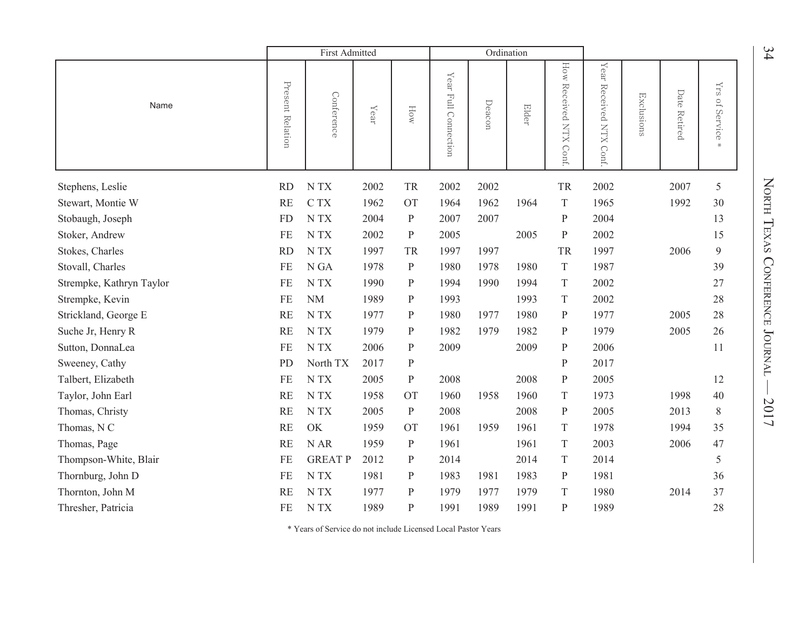|                          | First Admitted   |                            |                  |              |                                         | Ordination |       |                           |                                           |            |                 |                              |
|--------------------------|------------------|----------------------------|------------------|--------------|-----------------------------------------|------------|-------|---------------------------|-------------------------------------------|------------|-----------------|------------------------------|
| Name                     | Present Relation | Conference                 | $\mathbf{Y}$ ear | How          | ${\it Y}$ ear<br><b>Full Connection</b> | Deacon     | Elder | How Received NTX<br>Conf. | $\mathbf{Y}$ ear<br>Received NTX<br>Conf. | Exclusions | Date<br>Retired | $\rm YrS$<br>of Service<br>₩ |
| Stephens, Leslie         | <b>RD</b>        | $\ensuremath{\text{N}}$ TX | 2002             | TR           | 2002                                    | 2002       |       | TR                        | 2002                                      |            | 2007            | 5                            |
| Stewart, Montie W        | <b>RE</b>        | C TX                       | 1962             | <b>OT</b>    | 1964                                    | 1962       | 1964  | $\mathbf T$               | 1965                                      |            | 1992            | 30                           |
| Stobaugh, Joseph         | <b>FD</b>        | N TX                       | 2004             | $\, {\bf p}$ | 2007                                    | 2007       |       | ${\bf P}$                 | 2004                                      |            |                 | 13                           |
| Stoker, Andrew           | FE               | N TX                       | 2002             | $\mathbf{P}$ | 2005                                    |            | 2005  | ${\bf P}$                 | 2002                                      |            |                 | 15                           |
| Stokes, Charles          | <b>RD</b>        | N TX                       | 1997             | TR           | 1997                                    | 1997       |       | TR                        | 1997                                      |            | 2006            | 9                            |
| Stovall, Charles         | <b>FE</b>        | N GA                       | 1978             | $\mathbf{P}$ | 1980                                    | 1978       | 1980  | $\mathbf T$               | 1987                                      |            |                 | 39                           |
| Strempke, Kathryn Taylor | FE               | N TX                       | 1990             | $\, {\bf p}$ | 1994                                    | 1990       | 1994  | $\mathbf T$               | 2002                                      |            |                 | 27                           |
| Strempke, Kevin          | <b>FE</b>        | <b>NM</b>                  | 1989             | $\mathbf{P}$ | 1993                                    |            | 1993  | $\mathbf T$               | 2002                                      |            |                 | 28                           |
| Strickland, George E     | <b>RE</b>        | N TX                       | 1977             | $\mathbf{P}$ | 1980                                    | 1977       | 1980  | $\mathbf{P}$              | 1977                                      |            | 2005            | 28                           |
| Suche Jr, Henry R        | <b>RE</b>        | N TX                       | 1979             | $\, {\bf p}$ | 1982                                    | 1979       | 1982  | ${\bf P}$                 | 1979                                      |            | 2005            | 26                           |
| Sutton, DonnaLea         | FE               | N TX                       | 2006             | $\mathbf{P}$ | 2009                                    |            | 2009  | ${\bf P}$                 | 2006                                      |            |                 | 11                           |
| Sweeney, Cathy           | PD               | North TX                   | 2017             | $\, {\bf p}$ |                                         |            |       | ${\bf P}$                 | 2017                                      |            |                 |                              |
| Talbert, Elizabeth       | <b>FE</b>        | N TX                       | 2005             | $\mathbf{P}$ | 2008                                    |            | 2008  | ${\bf P}$                 | 2005                                      |            |                 | 12                           |
| Taylor, John Earl        | <b>RE</b>        | N TX                       | 1958             | <b>OT</b>    | 1960                                    | 1958       | 1960  | $\mathbf T$               | 1973                                      |            | 1998            | 40                           |
| Thomas, Christy          | <b>RE</b>        | N TX                       | 2005             | $\mathbf{P}$ | 2008                                    |            | 2008  | $\mathbf{P}$              | 2005                                      |            | 2013            | 8                            |
| Thomas, N C              | <b>RE</b>        | OK                         | 1959             | <b>OT</b>    | 1961                                    | 1959       | 1961  | $\mathbf T$               | 1978                                      |            | 1994            | 35                           |
| Thomas, Page             | <b>RE</b>        | N AR                       | 1959             | $\mathbf{P}$ | 1961                                    |            | 1961  | $\mathbf T$               | 2003                                      |            | 2006            | 47                           |
| Thompson-White, Blair    | FE               | <b>GREAT P</b>             | 2012             | $\mathbf{P}$ | 2014                                    |            | 2014  | $\mathbf T$               | 2014                                      |            |                 | 5                            |
| Thornburg, John D        | <b>FE</b>        | N TX                       | 1981             | $\, {\bf p}$ | 1983                                    | 1981       | 1983  | ${\bf P}$                 | 1981                                      |            |                 | 36                           |
| Thornton, John M         | <b>RE</b>        | N TX                       | 1977             | $\mathbf P$  | 1979                                    | 1977       | 1979  | T                         | 1980                                      |            | 2014            | 37                           |
| Thresher, Patricia       | <b>FE</b>        | N TX                       | 1989             | $\mathbf{P}$ | 1991                                    | 1989       | 1991  | P                         | 1989                                      |            |                 | 28                           |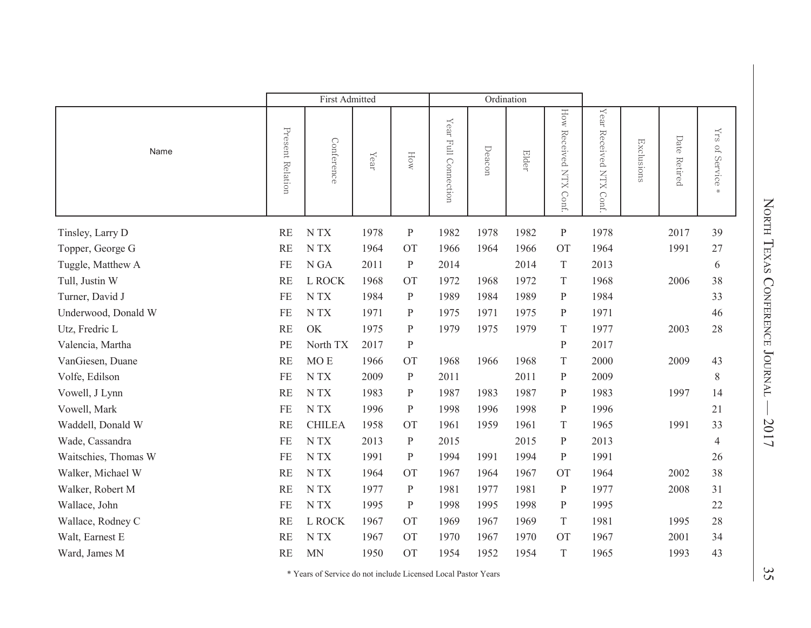First Admitted Ordination How Received NTX Conf. Year Received NTX Conf How Received NTX Conf. Year Received NTX Conf. Year Full Connection Year Full Connection Present Relation Present Relation Yrs of Service Yrs of Service \* Date Retired Date Retired Conference Conference Exclusions Exclusions Deacon NameElder Year How  $\mathbf{M}$ Tinsley, Larry D RE N TX 1978 P 1982 1978 1982 P 1978 2017 39 Topper, George G RE N TX 1964 OT 1966 1964 1966 OT 1964 1991 27 Tuggle, Matthew A **FE N GA** 2011 P 2014 2014 T 2013 6 Tull, Justin W RE L ROCK 1968 OT 1972 1968 1972 T 1968 2006 38 Turner, David J FE N TX 1984 P 1989 1984 1989 P 1984 33 Underwood, Donald W FE N TX 1971 P 1975 1971 1975 P 1971 1972 46 Utz, Fredric L RE OK 1975 P 1979 1975 1979 T 1977 2003 28 Valencia, Martha PE North TX 2017 P 2017 VanGiesen, Duane RE MO E 1966 OT 1968 1966 1968 T 2000 2009 43 Volfe, Edilson FE N TX 2009 P 2011 2011 P 2009 8 Vowell, J Lynn RE N TX 1983 P 1987 1983 1987 P 1983 1997 14 Vowell, Mark FE N TX 1996 P 1998 1996 1998 P 1996 21 Waddell, Donald W **RE CHILEA 1958 OT 1961 1959 1961 T** 1965 1991 33 Wade, Cassandra FE N TX 2013 P 2015 2015 P 2013 4 Waitschies, Thomas W FE N TX 1991 P 1994 1991 1994 P 1991 26 Walker, Michael W RE N TX 1964 OT 1967 1964 07 1967 OT 1964 2002 38 Walker, Robert M **RE** N TX 1977 P 1981 1977 1981 P 1977 2008 31 Wallace, John FE N TX 1995 P 1998 1995 1998 P 1995 22 Wallace, Rodney C **RE L ROCK 1967** OT 1969 1967 1969 T 1981 1995 28 Walt, Earnest E **REN TX** 1967 OT 1970 1967 1970 OT 1967 2001 34 Ward, James M **RE MN** 1950 OT 1954 1952 1954 T 1965 1993 43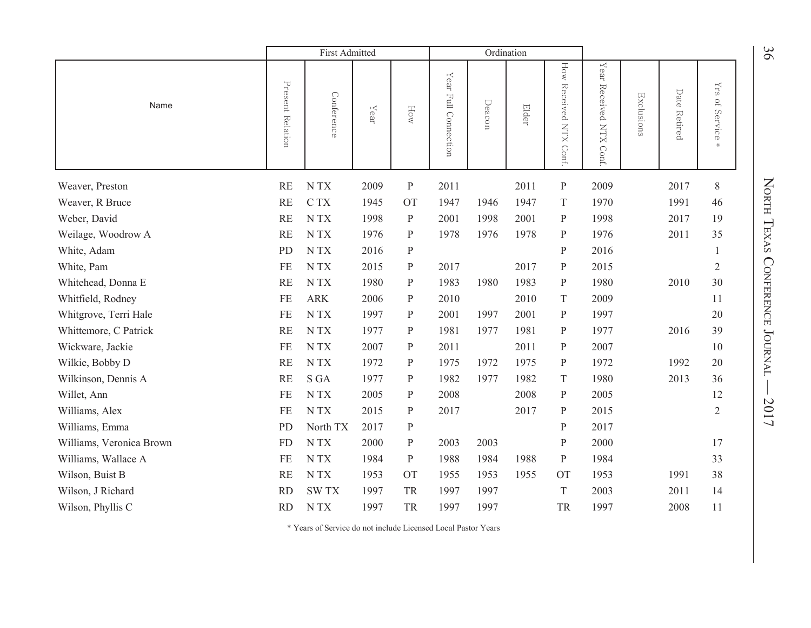|                          | First Admitted   |             |                                            |              |                                     |        | Ordination |                           |                                                   |            |                 |                                          |
|--------------------------|------------------|-------------|--------------------------------------------|--------------|-------------------------------------|--------|------------|---------------------------|---------------------------------------------------|------------|-----------------|------------------------------------------|
| Name                     | Present Relation | Conference  | $\mathbf{Y}\mathbf{e}\mathbf{a}\mathbf{r}$ | How          | ${\it Y}$ ear<br>Full<br>Connection | Deacon | Elder      | How Received NTX<br>Conf. | $\mathbf{Y}\mathbf{ear}$<br>Received NTX<br>Conf. | Exclusions | Date<br>Retired | $\rm Yrs$<br>of Service<br>$\frac{1}{2}$ |
| Weaver, Preston          | RE               | N TX        | 2009                                       | ${\bf P}$    | 2011                                |        | 2011       | ${\bf P}$                 | 2009                                              |            | 2017            | $8\,$                                    |
| Weaver, R Bruce          | <b>RE</b>        | C TX        | 1945                                       | <b>OT</b>    | 1947                                | 1946   | 1947       | T                         | 1970                                              |            | 1991            | 46                                       |
| Weber, David             | <b>RE</b>        | N TX        | 1998                                       | $\mathbf{P}$ | 2001                                | 1998   | 2001       | $\, {\bf p}$              | 1998                                              |            | 2017            | 19                                       |
| Weilage, Woodrow A       | <b>RE</b>        | N TX        | 1976                                       | $\mathbf{P}$ | 1978                                | 1976   | 1978       | ${\bf P}$                 | 1976                                              |            | 2011            | 35                                       |
| White, Adam              | PD               | N TX        | 2016                                       | $\, {\bf p}$ |                                     |        |            | ${\bf P}$                 | 2016                                              |            |                 | $\mathbf{1}$                             |
| White, Pam               | FE               | N TX        | 2015                                       | $\mathbf{P}$ | 2017                                |        | 2017       | P                         | 2015                                              |            |                 | $\mathfrak{2}$                           |
| Whitehead, Donna E       | <b>RE</b>        | N TX        | 1980                                       | $\mathbf{P}$ | 1983                                | 1980   | 1983       | $\, {\bf p}$              | 1980                                              |            | 2010            | 30                                       |
| Whitfield, Rodney        | FE               | <b>ARK</b>  | 2006                                       | ${\bf P}$    | 2010                                |        | 2010       | T                         | 2009                                              |            |                 | 11                                       |
| Whitgrove, Terri Hale    | <b>FE</b>        | N TX        | 1997                                       | $\mathbf{P}$ | 2001                                | 1997   | 2001       | $\mathbf{P}$              | 1997                                              |            |                 | 20                                       |
| Whittemore, C Patrick    | <b>RE</b>        | N TX        | 1977                                       | ${\bf P}$    | 1981                                | 1977   | 1981       | $\, {\bf P}$              | 1977                                              |            | 2016            | 39                                       |
| Wickware, Jackie         | FE               | N TX        | 2007                                       | $\mathbf{P}$ | 2011                                |        | 2011       | ${\bf P}$                 | 2007                                              |            |                 | 10                                       |
| Wilkie, Bobby D          | <b>RE</b>        | N TX        | 1972                                       | $\, {\bf P}$ | 1975                                | 1972   | 1975       | $\, {\bf p}$              | 1972                                              |            | 1992            | 20                                       |
| Wilkinson, Dennis A      | RE               | S GA        | 1977                                       | $\mathbf{P}$ | 1982                                | 1977   | 1982       | $\mathbf T$               | 1980                                              |            | 2013            | 36                                       |
| Willet, Ann              | <b>FE</b>        | N TX        | 2005                                       | $\mathbf{P}$ | 2008                                |        | 2008       | $\, {\bf p}$              | 2005                                              |            |                 | 12                                       |
| Williams, Alex           | FE               | N TX        | 2015                                       | $\mathbf{P}$ | 2017                                |        | 2017       | ${\bf P}$                 | 2015                                              |            |                 | $\overline{2}$                           |
| Williams, Emma           | PD               | North TX    | 2017                                       | ${\bf P}$    |                                     |        |            | ${\bf P}$                 | 2017                                              |            |                 |                                          |
| Williams, Veronica Brown | <b>FD</b>        | N TX        | 2000                                       | $\mathbf P$  | 2003                                | 2003   |            | ${\bf P}$                 | 2000                                              |            |                 | 17                                       |
| Williams, Wallace A      | FE               | N TX        | 1984                                       | $\, {\bf P}$ | 1988                                | 1984   | 1988       | $\, {\bf P}$              | 1984                                              |            |                 | 33                                       |
| Wilson, Buist B          | <b>RE</b>        | N TX        | 1953                                       | <b>OT</b>    | 1955                                | 1953   | 1955       | <b>OT</b>                 | 1953                                              |            | 1991            | 38                                       |
| Wilson, J Richard        | <b>RD</b>        | <b>SWTX</b> | 1997                                       | TR           | 1997                                | 1997   |            | $\mathbf T$               | 2003                                              |            | 2011            | 14                                       |
| Wilson, Phyllis C        | <b>RD</b>        | N TX        | 1997                                       | <b>TR</b>    | 1997                                | 1997   |            | <b>TR</b>                 | 1997                                              |            | 2008            | 11                                       |